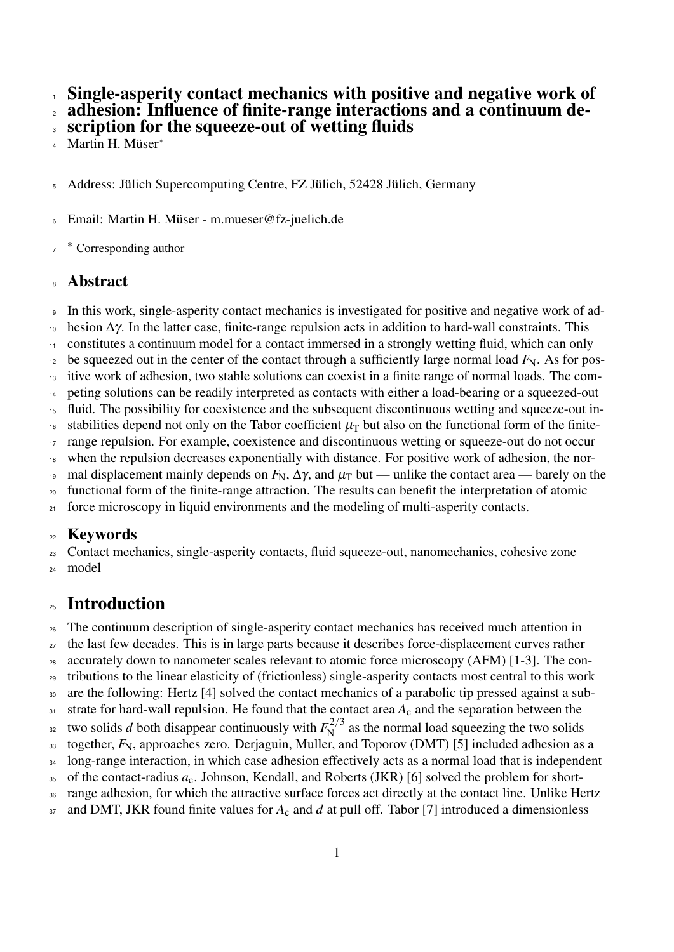Single-asperity contact mechanics with positive and negative work of

adhesion: Influence of finite-range interactions and a continuum de-

scription for the squeeze-out of wetting fluids

Martin H. Müser<sup>∗</sup> 

Address: Jülich Supercomputing Centre, FZ Jülich, 52428 Jülich, Germany

Email: Martin H. Müser - m.mueser@fz-juelich.de

∗ Corresponding author

## **Abstract**

In this work, single-asperity contact mechanics is investigated for positive and negative work of ad-

hesion  $Δγ$ . In the latter case, finite-range repulsion acts in addition to hard-wall constraints. This

constitutes a continuum model for a contact immersed in a strongly wetting fluid, which can only

be squeezed out in the center of the contact through a sufficiently large normal load  $F_N$ . As for pos-

itive work of adhesion, two stable solutions can coexist in a finite range of normal loads. The com-

peting solutions can be readily interpreted as contacts with either a load-bearing or a squeezed-out

 fluid. The possibility for coexistence and the subsequent discontinuous wetting and squeeze-out in-16 stabilities depend not only on the Tabor coefficient  $\mu$ <sub>T</sub> but also on the functional form of the finite-

range repulsion. For example, coexistence and discontinuous wetting or squeeze-out do not occur

when the repulsion decreases exponentially with distance. For positive work of adhesion, the nor-

<sup>19</sup> mal displacement mainly depends on  $F_N$ ,  $\Delta \gamma$ , and  $\mu_T$  but — unlike the contact area — barely on the

functional form of the finite-range attraction. The results can benefit the interpretation of atomic

<sup>21</sup> force microscopy in liquid environments and the modeling of multi-asperity contacts.

## Keywords

Contact mechanics, single-asperity contacts, fluid squeeze-out, nanomechanics, cohesive zone

model

# Introduction

The continuum description of single-asperity contact mechanics has received much attention in

the last few decades. This is in large parts because it describes force-displacement curves rather

accurately down to nanometer scales relevant to atomic force microscopy (AFM) [1-3]. The con-

tributions to the linear elasticity of (frictionless) single-asperity contacts most central to this work

 are the following: Hertz [4] solved the contact mechanics of a parabolic tip pressed against a sub-31 strate for hard-wall repulsion. He found that the contact area  $A_c$  and the separation between the

two solids *d* both disappear continuously with  $F_N^{2/3}$ <sup>32</sup> two solids d both disappear continuously with  $F_N^{2/3}$  as the normal load squeezing the two solids

33 together,  $F_N$ , approaches zero. Derjaguin, Muller, and Toporov (DMT) [5] included adhesion as a

long-range interaction, in which case adhesion effectively acts as a normal load that is independent

<sup>35</sup> of the contact-radius  $a_c$ . Johnson, Kendall, and Roberts (JKR) [6] solved the problem for short-

range adhesion, for which the attractive surface forces act directly at the contact line. Unlike Hertz

<sup>37</sup> and DMT, JKR found finite values for  $A_c$  and *d* at pull off. Tabor [7] introduced a dimensionless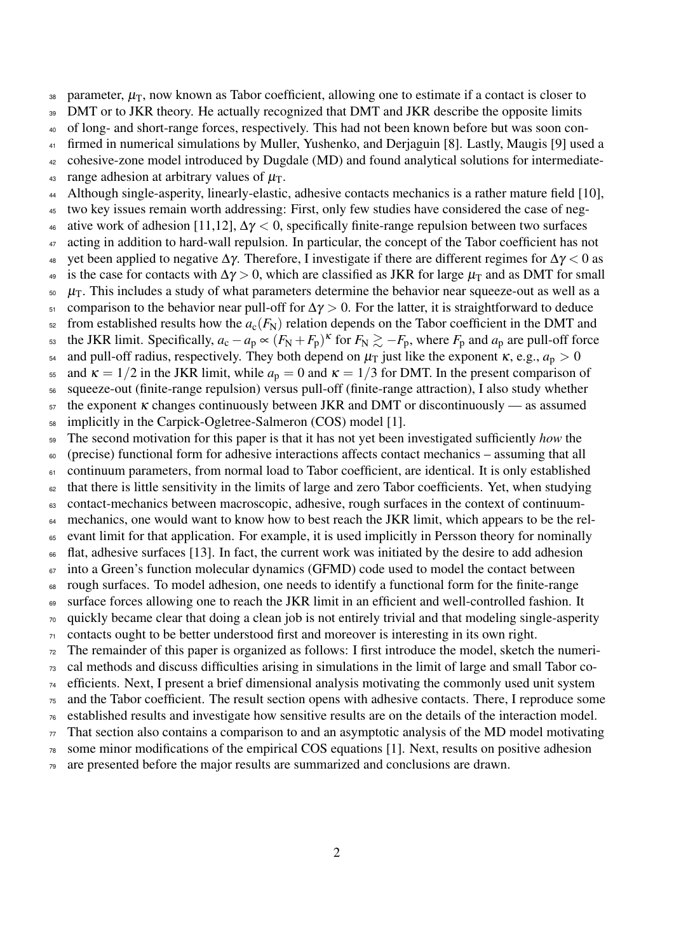38 parameter,  $\mu_{\rm T}$ , now known as Tabor coefficient, allowing one to estimate if a contact is closer to 39 DMT or to JKR theory. He actually recognized that DMT and JKR describe the opposite limits of long- and short-range forces, respectively. This had not been known before but was soon con- firmed in numerical simulations by Muller, Yushenko, and Derjaguin [8]. Lastly, Maugis [9] used a cohesive-zone model introduced by Dugdale (MD) and found analytical solutions for intermediate-43 range adhesion at arbitrary values of  $\mu$ <sub>T</sub>. 44 Although single-asperity, linearly-elastic, adhesive contacts mechanics is a rather mature field [10], two key issues remain worth addressing: First, only few studies have considered the case of neg-46 ative work of adhesion [11,12],  $\Delta \gamma < 0$ , specifically finite-range repulsion between two surfaces <sup>47</sup> acting in addition to hard-wall repulsion. In particular, the concept of the Tabor coefficient has not 48 yet been applied to negative  $\Delta \gamma$ . Therefore, I investigate if there are different regimes for  $\Delta \gamma < 0$  as 49 is the case for contacts with  $\Delta \gamma > 0$ , which are classified as JKR for large  $\mu_T$  and as DMT for small  $\epsilon_0$   $\mu$ <sub>T</sub>. This includes a study of what parameters determine the behavior near squeeze-out as well as a comparison to the behavior near pull-off for  $\Delta \gamma > 0$ . For the latter, it is straightforward to deduce from established results how the  $a_c(F_N)$  relation depends on the Tabor coefficient in the DMT and the JKR limit. Specifically,  $a_c - a_p \propto (F_N + F_p)^K$  for  $F_N \gtrsim -F_p$ , where  $F_p$  and  $a_p$  are pull-off force <sup>54</sup> and pull-off radius, respectively. They both depend on  $\mu$ <sub>T</sub> just like the exponent  $\kappa$ , e.g.,  $a_p > 0$ <sup>55</sup> and  $\kappa = 1/2$  in the JKR limit, while  $a_p = 0$  and  $\kappa = 1/3$  for DMT. In the present comparison of squeeze-out (finite-range repulsion) versus pull-off (finite-range attraction), I also study whether the exponent  $\kappa$  changes continuously between JKR and DMT or discontinuously — as assumed implicitly in the Carpick-Ogletree-Salmeron (COS) model [1]. The second motivation for this paper is that it has not yet been investigated sufficiently *how* the (precise) functional form for adhesive interactions affects contact mechanics – assuming that all continuum parameters, from normal load to Tabor coefficient, are identical. It is only established that there is little sensitivity in the limits of large and zero Tabor coefficients. Yet, when studying contact-mechanics between macroscopic, adhesive, rough surfaces in the context of continuum-<sup>64</sup> mechanics, one would want to know how to best reach the JKR limit, which appears to be the rel-<sup>65</sup> evant limit for that application. For example, it is used implicitly in Persson theory for nominally flat, adhesive surfaces [13]. In fact, the current work was initiated by the desire to add adhesion into a Green's function molecular dynamics (GFMD) code used to model the contact between rough surfaces. To model adhesion, one needs to identify a functional form for the finite-range surface forces allowing one to reach the JKR limit in an efficient and well-controlled fashion. It  $\sigma$  quickly became clear that doing a clean job is not entirely trivial and that modeling single-asperity contacts ought to be better understood first and moreover is interesting in its own right. The remainder of this paper is organized as follows: I first introduce the model, sketch the numeri- cal methods and discuss difficulties arising in simulations in the limit of large and small Tabor co- efficients. Next, I present a brief dimensional analysis motivating the commonly used unit system and the Tabor coefficient. The result section opens with adhesive contacts. There, I reproduce some established results and investigate how sensitive results are on the details of the interaction model. That section also contains a comparison to and an asymptotic analysis of the MD model motivating some minor modifications of the empirical COS equations [1]. Next, results on positive adhesion

 $\tau$ <sup>9</sup> are presented before the major results are summarized and conclusions are drawn.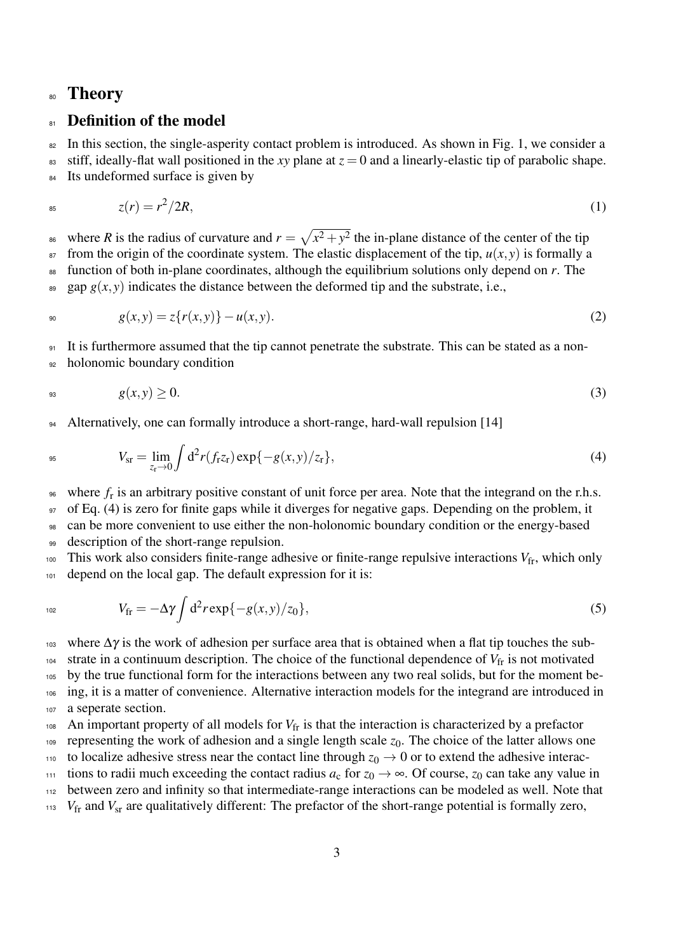## <sup>80</sup> Theory

## 81 Definition of the model

<sup>82</sup> In this section, the single-asperity contact problem is introduced. As shown in Fig. 1, we consider a 83 stiff, ideally-flat wall positioned in the *xy* plane at  $z = 0$  and a linearly-elastic tip of parabolic shape. 84 Its undeformed surface is given by

$$
z(r) = r^2/2R,\tag{1}
$$

<sup>86</sup> where *R* is the radius of curvature and  $r = \sqrt{x^2 + y^2}$  the in-plane distance of the center of the tip  $\epsilon$ <sup>87</sup> from the origin of the coordinate system. The elastic displacement of the tip,  $u(x, y)$  is formally a <sup>88</sup> function of both in-plane coordinates, although the equilibrium solutions only depend on *r*. The  $\mathfrak{g}_{\mathfrak{g}}$  gap  $g(x, y)$  indicates the distance between the deformed tip and the substrate, i.e.,

$$
g(x,y) = z\{r(x,y)\} - u(x,y). \tag{2}
$$

<sup>91</sup> It is furthermore assumed that the tip cannot penetrate the substrate. This can be stated as a non-

<sup>92</sup> holonomic boundary condition

$$
g(x, y) \ge 0. \tag{3}
$$

<sup>94</sup> Alternatively, one can formally introduce a short-range, hard-wall repulsion [14]

$$
V_{\rm sr} = \lim_{z_{\rm r} \to 0} \int d^2 r(f_{\rm r} z_{\rm r}) \exp\{-g(x, y)/z_{\rm r}\},\tag{4}
$$

 $\epsilon_{\text{96}}$  where  $f_{\text{r}}$  is an arbitrary positive constant of unit force per area. Note that the integrand on the r.h.s.

97 of Eq. (4) is zero for finite gaps while it diverges for negative gaps. Depending on the problem, it

<sup>98</sup> can be more convenient to use either the non-holonomic boundary condition or the energy-based 99 description of the short-range repulsion.

<sup>100</sup> This work also considers finite-range adhesive or finite-range repulsive interactions  $V_{fr}$ , which only 101 depend on the local gap. The default expression for it is:

$$
V_{\rm fr} = -\Delta \gamma \int d^2 r \exp\{-g(x, y)/z_0\},\tag{5}
$$

 where  $Δγ$  is the work of adhesion per surface area that is obtained when a flat tip touches the sub- strate in a continuum description. The choice of the functional dependence of  $V_{\text{fr}}$  is not motivated by the true functional form for the interactions between any two real solids, but for the moment be- ing, it is a matter of convenience. Alternative interaction models for the integrand are introduced in a seperate section.

 $_{108}$  An important property of all models for  $V_{\text{fr}}$  is that the interaction is characterized by a prefactor

109 representing the work of adhesion and a single length scale  $z_0$ . The choice of the latter allows one

110 to localize adhesive stress near the contact line through  $z_0 \to 0$  or to extend the adhesive interac-

111 tions to radii much exceeding the contact radius  $a_c$  for  $z_0 \rightarrow \infty$ . Of course,  $z_0$  can take any value in

<sup>112</sup> between zero and infinity so that intermediate-range interactions can be modeled as well. Note that

<sup>113</sup> *V*<sub>fr</sub> and *V*<sub>sr</sub> are qualitatively different: The prefactor of the short-range potential is formally zero,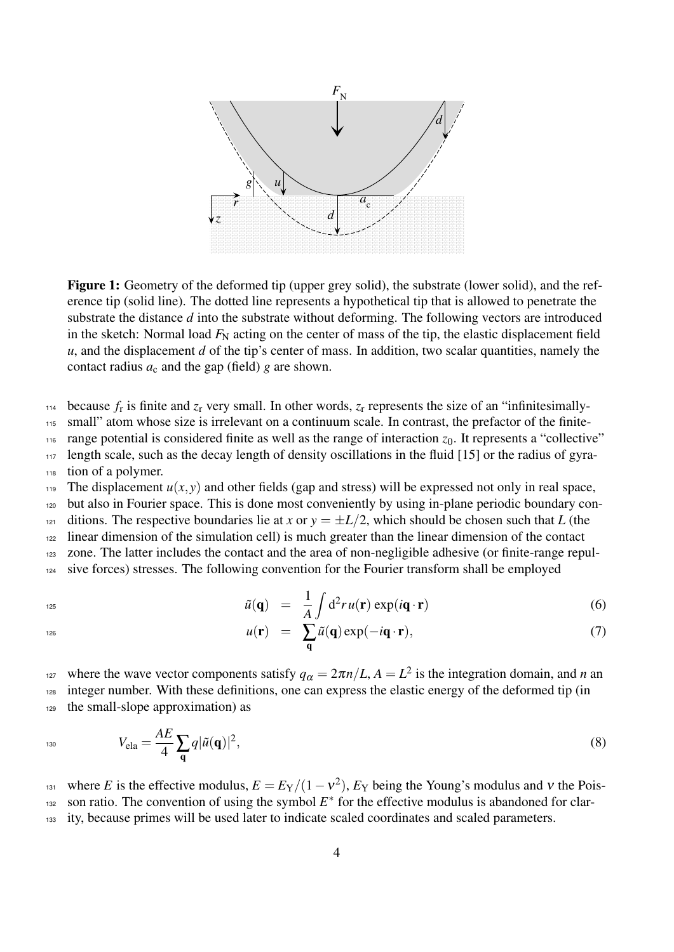

Figure 1: Geometry of the deformed tip (upper grey solid), the substrate (lower solid), and the reference tip (solid line). The dotted line represents a hypothetical tip that is allowed to penetrate the substrate the distance *d* into the substrate without deforming. The following vectors are introduced in the sketch: Normal load  $F_N$  acting on the center of mass of the tip, the elastic displacement field *u*, and the displacement *d* of the tip's center of mass. In addition, two scalar quantities, namely the contact radius  $a_c$  and the gap (field)  $g$  are shown.

 $114$  because  $f_r$  is finite and  $z_r$  very small. In other words,  $z_r$  represents the size of an "infinitesimally-

<sup>115</sup> small" atom whose size is irrelevant on a continuum scale. In contrast, the prefactor of the finite-

 $_{116}$  range potential is considered finite as well as the range of interaction  $z_0$ . It represents a "collective"

<sup>117</sup> length scale, such as the decay length of density oscillations in the fluid [15] or the radius of gyra-

<sup>118</sup> tion of a polymer.

119 The displacement  $u(x, y)$  and other fields (gap and stress) will be expressed not only in real space,

<sup>120</sup> but also in Fourier space. This is done most conveniently by using in-plane periodic boundary con-

121 ditions. The respective boundaries lie at *x* or  $y = \pm L/2$ , which should be chosen such that *L* (the

<sup>122</sup> linear dimension of the simulation cell) is much greater than the linear dimension of the contact

<sup>123</sup> zone. The latter includes the contact and the area of non-negligible adhesive (or finite-range repul-

<sup>124</sup> sive forces) stresses. The following convention for the Fourier transform shall be employed

$$
\tilde{u}(\mathbf{q}) = \frac{1}{A} \int d^2 r u(\mathbf{r}) \exp(i\mathbf{q} \cdot \mathbf{r}) \tag{6}
$$

$$
126 \\
$$

 $u(\mathbf{r}) = \sum_{\mathbf{q}}$ 126  $u(\mathbf{r}) = \sum \tilde{u}(\mathbf{q}) \exp(-i\mathbf{q} \cdot \mathbf{r}),$  (7)

where the wave vector components satisfy  $q_{\alpha} = 2\pi n/L$ ,  $A = L^2$  is the integration domain, and *n* and <sup>128</sup> integer number. With these definitions, one can express the elastic energy of the deformed tip (in <sup>129</sup> the small-slope approximation) as

$$
V_{\text{ela}} = \frac{AE}{4} \sum_{\mathbf{q}} q |\tilde{u}(\mathbf{q})|^2, \tag{8}
$$

where *E* is the effective modulus,  $E = E_Y/(1 - v^2)$ ,  $E_Y$  being the Young's modulus and v the Pois- $132$  son ratio. The convention of using the symbol  $E^*$  for the effective modulus is abandoned for clar-<sup>133</sup> ity, because primes will be used later to indicate scaled coordinates and scaled parameters.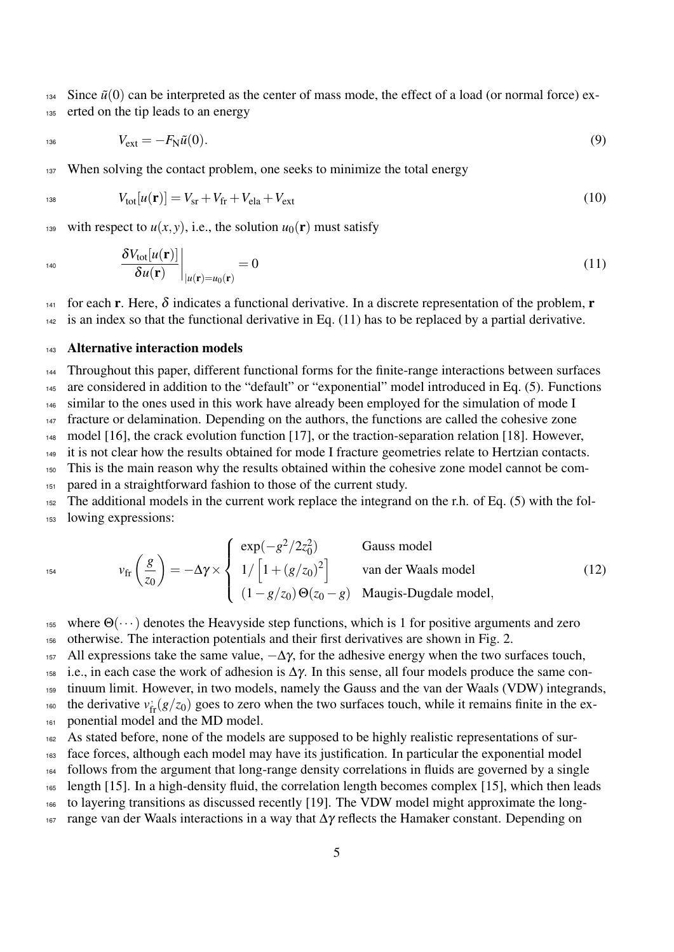<sup>134</sup> Since  $\tilde{u}(0)$  can be interpreted as the center of mass mode, the effect of a load (or normal force) ex-<sup>135</sup> erted on the tip leads to an energy

$$
V_{\text{ext}} = -F_{\text{N}}\tilde{u}(0). \tag{9}
$$

137 When solving the contact problem, one seeks to minimize the total energy

$$
V_{\text{tot}}[u(\mathbf{r})] = V_{\text{sr}} + V_{\text{fr}} + V_{\text{ela}} + V_{\text{ext}} \tag{10}
$$

139 with respect to  $u(x, y)$ , i.e., the solution  $u_0(\mathbf{r})$  must satisfy

 $\overline{ }$ 

$$
\left. \frac{\delta V_{\text{tot}}[u(\mathbf{r})]}{\delta u(\mathbf{r})} \right|_{|u(\mathbf{r}) = u_0(\mathbf{r})} = 0 \tag{11}
$$

141 for each **r**. Here,  $\delta$  indicates a functional derivative. In a discrete representation of the problem, **r** <sup>142</sup> is an index so that the functional derivative in Eq. (11) has to be replaced by a partial derivative.

#### <sup>143</sup> Alternative interaction models

**Carl College** 

 Throughout this paper, different functional forms for the finite-range interactions between surfaces are considered in addition to the "default" or "exponential" model introduced in Eq. (5). Functions similar to the ones used in this work have already been employed for the simulation of mode I fracture or delamination. Depending on the authors, the functions are called the cohesive zone model [16], the crack evolution function [17], or the traction-separation relation [18]. However, it is not clear how the results obtained for mode I fracture geometries relate to Hertzian contacts. This is the main reason why the results obtained within the cohesive zone model cannot be com- pared in a straightforward fashion to those of the current study. The additional models in the current work replace the integrand on the r.h. of Eq. (5) with the fol-

<sup>153</sup> lowing expressions:

$$
v_{\rm fr}\left(\frac{g}{z_0}\right) = -\Delta \gamma \times \begin{cases} \exp(-g^2/2z_0^2) & \text{Gauss model} \\ 1/\left[1 + (g/z_0)^2\right] & \text{van der Waals model} \\ (1 - g/z_0) \Theta(z_0 - g) & \text{Maugis-Dugdale model,} \end{cases}
$$
(12)

155 where  $\Theta(\cdots)$  denotes the Heavyside step functions, which is 1 for positive arguments and zero <sup>156</sup> otherwise. The interaction potentials and their first derivatives are shown in Fig. 2.

157 All expressions take the same value,  $-\Delta\gamma$ , for the adhesive energy when the two surfaces touch,

158 i.e., in each case the work of adhesion is  $\Delta \gamma$ . In this sense, all four models produce the same con-

- <sup>159</sup> tinuum limit. However, in two models, namely the Gauss and the van der Waals (VDW) integrands,
- the derivative  $v_{\text{fr}}(g/z_0)$  goes to zero when the two surfaces touch, while it remains finite in the ex-
- <sup>161</sup> ponential model and the MD model.
- <sup>162</sup> As stated before, none of the models are supposed to be highly realistic representations of sur-

<sup>163</sup> face forces, although each model may have its justification. In particular the exponential model

<sup>164</sup> follows from the argument that long-range density correlations in fluids are governed by a single

- <sup>165</sup> length [15]. In a high-density fluid, the correlation length becomes complex [15], which then leads
- <sup>166</sup> to layering transitions as discussed recently [19]. The VDW model might approximate the long-
- <sup>167</sup> range van der Waals interactions in a way that ∆γ reflects the Hamaker constant. Depending on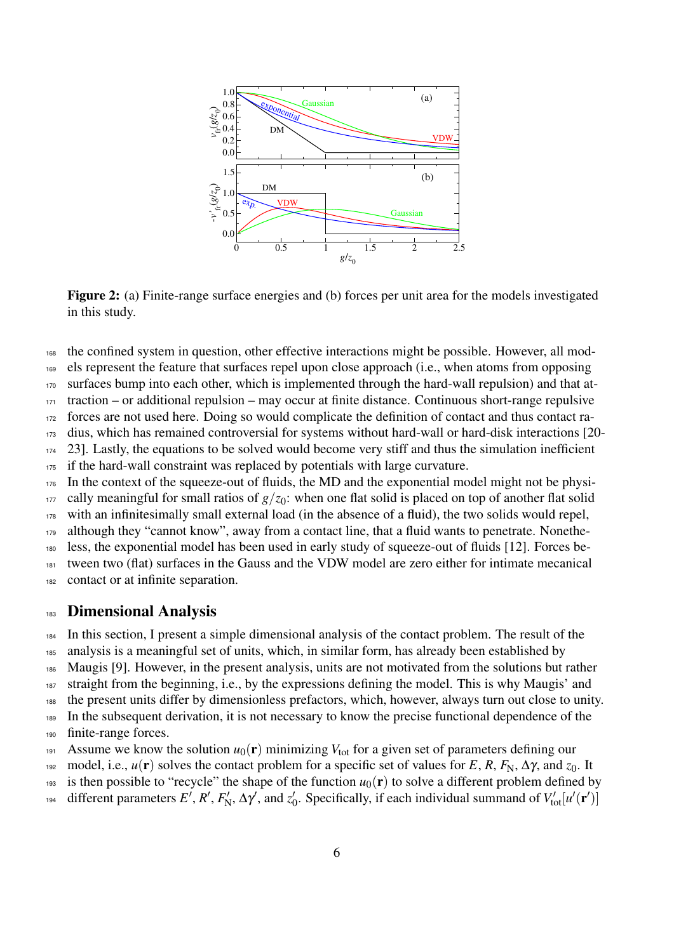

Figure 2: (a) Finite-range surface energies and (b) forces per unit area for the models investigated in this study.

<sup>168</sup> the confined system in question, other effective interactions might be possible. However, all mod-

<sup>169</sup> els represent the feature that surfaces repel upon close approach (i.e., when atoms from opposing

<sup>170</sup> surfaces bump into each other, which is implemented through the hard-wall repulsion) and that at-

 $171$  traction – or additional repulsion – may occur at finite distance. Continuous short-range repulsive

<sup>172</sup> forces are not used here. Doing so would complicate the definition of contact and thus contact ra-

<sup>173</sup> dius, which has remained controversial for systems without hard-wall or hard-disk interactions [20-

<sup>174</sup> 23]. Lastly, the equations to be solved would become very stiff and thus the simulation inefficient

<sup>175</sup> if the hard-wall constraint was replaced by potentials with large curvature.

 $176$  In the context of the squeeze-out of fluids, the MD and the exponential model might not be physi-

 $177$  cally meaningful for small ratios of  $g/z<sub>0</sub>$ : when one flat solid is placed on top of another flat solid <sup>178</sup> with an infinitesimally small external load (in the absence of a fluid), the two solids would repel,

<sup>179</sup> although they "cannot know", away from a contact line, that a fluid wants to penetrate. Nonethe-

<sup>180</sup> less, the exponential model has been used in early study of squeeze-out of fluids [12]. Forces be-

<sup>181</sup> tween two (flat) surfaces in the Gauss and the VDW model are zero either for intimate mecanical

<sup>182</sup> contact or at infinite separation.

### 183 **Dimensional Analysis**

<sup>184</sup> In this section, I present a simple dimensional analysis of the contact problem. The result of the

<sup>185</sup> analysis is a meaningful set of units, which, in similar form, has already been established by

<sup>186</sup> Maugis [9]. However, in the present analysis, units are not motivated from the solutions but rather

<sup>187</sup> straight from the beginning, i.e., by the expressions defining the model. This is why Maugis' and

<sup>188</sup> the present units differ by dimensionless prefactors, which, however, always turn out close to unity.

<sup>189</sup> In the subsequent derivation, it is not necessary to know the precise functional dependence of the

<sup>190</sup> finite-range forces.

- 191 Assume we know the solution  $u_0(\mathbf{r})$  minimizing  $V_{\text{tot}}$  for a given set of parameters defining our
- 192 model, i.e.,  $u(\mathbf{r})$  solves the contact problem for a specific set of values for *E*, *R*,  $F_N$ ,  $\Delta \gamma$ , and  $z_0$ . It

193 is then possible to "recycle" the shape of the function  $u_0(\mathbf{r})$  to solve a different problem defined by

different parameters  $E'$ ,  $R'$ ,  $F'$  $\chi'_{\rm N}$ ,  $\Delta \gamma'$ , and  $z'_{0}$ <sup>194</sup> different parameters E', R', F<sub>N</sub>',  $\Delta \gamma'$ , and  $z'_0$ . Specifically, if each individual summand of  $V'_{tot}[u'(\mathbf{r}')]$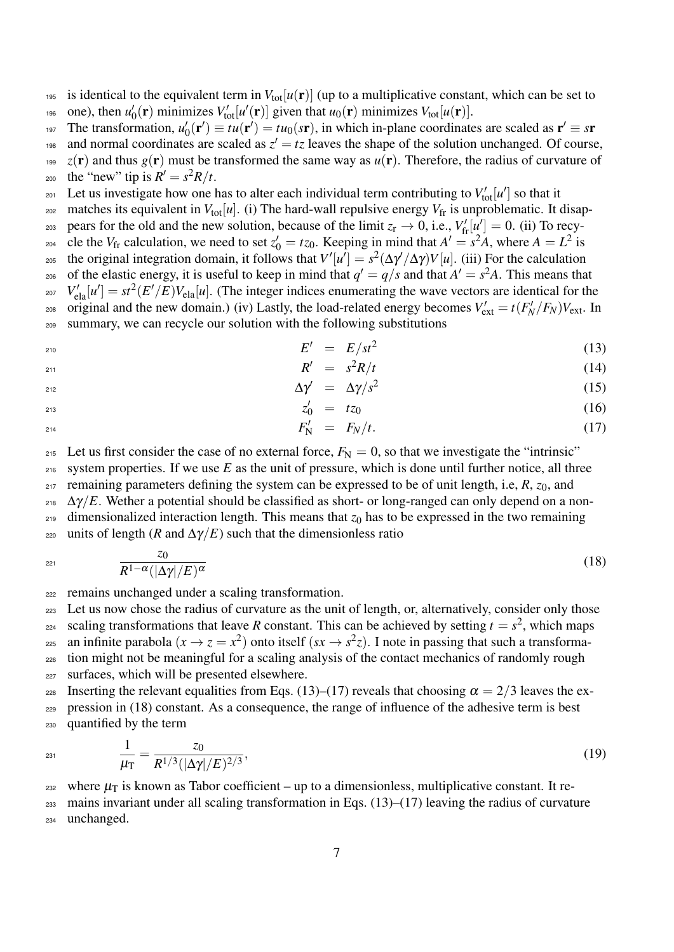is identical to the equivalent term in  $V_{tot}[u(\mathbf{r})]$  (up to a multiplicative constant, which can be set to one), then  $u_0$ <sup>196</sup> one), then  $u'_0(\mathbf{r})$  minimizes  $V'_{\text{tot}}[u'(\mathbf{r})]$  given that  $u_0(\mathbf{r})$  minimizes  $V_{\text{tot}}[u(\mathbf{r})]$ .

- The transformation,  $u_0$ The transformation,  $u'_0(\mathbf{r}') \equiv tu(\mathbf{r}') = tu_0(s\mathbf{r})$ , in which in-plane coordinates are scaled as  $\mathbf{r}' \equiv s\mathbf{r}$
- <sup>198</sup> and normal coordinates are scaled as  $z' = tz$  leaves the shape of the solution unchanged. Of course,
- <sup>199</sup> *z*(**r**) and thus  $g(\mathbf{r})$  must be transformed the same way as  $u(\mathbf{r})$ . Therefore, the radius of curvature of  $\sum_{z=1}^{\infty} \frac{1}{z} e^{iz}$  (here  $\sum_{z=1}^{\infty} \frac{1}{z}$  is  $R' = s^2 R/t$ .
- $\mathbb{E}_{201}$  Let us investigate how one has to alter each individual term contributing to  $V'_{\text{tot}}[u']$  so that it
- $_{202}$  matches its equivalent in  $V_{\text{tot}}[u]$ . (i) The hard-wall repulsive energy  $V_{\text{fr}}$  is unproblematic. It disap-
- pears for the old and the new solution, because of the limit  $z_r \to 0$ , i.e.,  $V'_{\text{fr}}[\mu'] = 0$ . (ii) To recy-
- cle the  $V_{\text{fr}}$  calculation, we need to set  $z'_0 = tz_0$ . Keeping in mind that  $A' = s^2 A$ , where  $A = L^2$  is <sup>205</sup> the original integration domain, it follows that  $V'[u'] = s^2(\Delta \gamma'/\Delta \gamma)V[u]$ . (iii) For the calculation  $_{206}$  of the elastic energy, it is useful to keep in mind that  $q' = q/s$  and that  $A' = s^2A$ . This means that  $V'_{\text{ela}}[u'] = st^2(E'/E)V_{\text{ela}}[u]$ . (The integer indices enumerating the wave vectors are identical for the
- $\sum_{\text{208}}$  original and the new domain.) (iv) Lastly, the load-related energy becomes  $V'_{\text{ext}} = t(F'_N/F_N)V_{\text{ext}}$ . In <sup>209</sup> summary, we can recycle our solution with the following substitutions
- $E' = E/st^2$  (13)

$$
R' = s^2 R/t
$$
 (14)

$$
\Delta \gamma' = \Delta \gamma / s^2 \tag{15}
$$

$$
z_0' = tz_0 \tag{16}
$$

 $F'_{\rm N} = F_{\rm N}/t.$  (17)

<sup>215</sup> Let us first consider the case of no external force,  $F_N = 0$ , so that we investigate the "intrinsic"  $216$  system properties. If we use *E* as the unit of pressure, which is done until further notice, all three <sup>217</sup> remaining parameters defining the system can be expressed to be of unit length, i.e, *R*, *z*0, and  $_{218}$   $\Delta \gamma/E$ . Wether a potential should be classified as short- or long-ranged can only depend on a non- $219$  dimensionalized interaction length. This means that  $z_0$  has to be expressed in the two remaining <sup>220</sup> units of length (*R* and  $\Delta\gamma/E$ ) such that the dimensionless ratio

$$
\frac{z_0}{R^{1-\alpha}(|\Delta \gamma|/E)^{\alpha}} \tag{18}
$$

<sup>222</sup> remains unchanged under a scaling transformation.

<sup>223</sup> Let us now chose the radius of curvature as the unit of length, or, alternatively, consider only those scaling transformations that leave *R* constant. This can be achieved by setting  $t = s^2$ , which maps 225 an infinite parabola  $(x \to z = x^2)$  onto itself  $(sx \to s^2z)$ . I note in passing that such a transforma-<sup>226</sup> tion might not be meaningful for a scaling analysis of the contact mechanics of randomly rough

<sup>227</sup> surfaces, which will be presented elsewhere.

228 Inserting the relevant equalities from Eqs. (13)–(17) reveals that choosing  $\alpha = 2/3$  leaves the ex-

- <sup>229</sup> pression in (18) constant. As a consequence, the range of influence of the adhesive term is best
- <sup>230</sup> quantified by the term

$$
\frac{1}{\mu_{\rm T}} = \frac{z_0}{R^{1/3}(|\Delta \gamma|/E)^{2/3}},\tag{19}
$$

<sup>232</sup> where  $\mu_{\rm T}$  is known as Tabor coefficient – up to a dimensionless, multiplicative constant. It re-<sup>233</sup> mains invariant under all scaling transformation in Eqs. (13)–(17) leaving the radius of curvature <sup>234</sup> unchanged.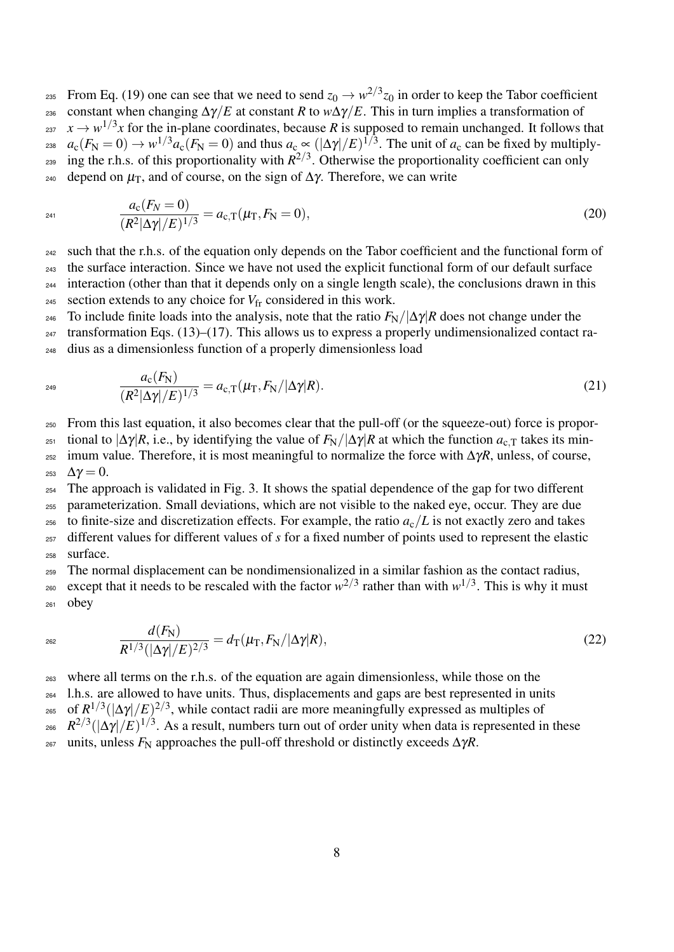$_{235}$  From Eq. (19) one can see that we need to send  $z_0 \to w^{2/3} z_0$  in order to keep the Tabor coefficient 236 constant when changing  $\Delta \gamma / E$  at constant *R* to  $w\Delta \gamma / E$ . This in turn implies a transformation of  $x \rightarrow w^{1/3}x$  for the in-plane coordinates, because *R* is supposed to remain unchanged. It follows that  $a_c(F_N = 0) \to w^{1/3}a_c(F_N = 0)$  and thus  $a_c \propto (|\Delta \gamma|/E)^{1/3}$ . The unit of  $a_c$  can be fixed by multiply- $_{239}$  ing the r.h.s. of this proportionality with  $R^{2/3}$ . Otherwise the proportionality coefficient can only  $240$  depend on  $\mu$ <sub>T</sub>, and of course, on the sign of  $Δγ$ . Therefore, we can write

$$
a_{c}(F_{N}=0)
$$
  
\n
$$
\frac{a_{c}(F_{N}=0)}{(R^{2}|\Delta\gamma|/E)^{1/3}}=a_{c,T}(\mu_{T},F_{N}=0),
$$
\n(20)

<sup>242</sup> such that the r.h.s. of the equation only depends on the Tabor coefficient and the functional form of <sup>243</sup> the surface interaction. Since we have not used the explicit functional form of our default surface <sup>244</sup> interaction (other than that it depends only on a single length scale), the conclusions drawn in this <sup>245</sup> section extends to any choice for  $V_{\text{fr}}$  considered in this work.

246 To include finite loads into the analysis, note that the ratio  $F_N/|\Delta \gamma|R$  does not change under the

 $_{247}$  transformation Eqs. (13)–(17). This allows us to express a properly undimensionalized contact ra-<sup>248</sup> dius as a dimensionless function of a properly dimensionless load

$$
a_{\rm c}(F_{\rm N}) = a_{\rm c,T}(\mu_{\rm T}, F_{\rm N}/|\Delta\gamma|R). \tag{21}
$$

<sup>250</sup> From this last equation, it also becomes clear that the pull-off (or the squeeze-out) force is propor-

<sup>251</sup> tional to  $|\Delta \gamma| R$ , i.e., by identifying the value of  $F_N/|\Delta \gamma| R$  at which the function  $a_c$ <sub>T</sub> takes its min-

<sup>252</sup> imum value. Therefore, it is most meaningful to normalize the force with ∆γ*R*, unless, of course,  $253 \Delta$ γ = 0.

<sup>254</sup> The approach is validated in Fig. 3. It shows the spatial dependence of the gap for two different

<sup>255</sup> parameterization. Small deviations, which are not visible to the naked eye, occur. They are due <sup>256</sup> to finite-size and discretization effects. For example, the ratio  $a_c/L$  is not exactly zero and takes

<sup>257</sup> different values for different values of *s* for a fixed number of points used to represent the elastic <sup>258</sup> surface.

<sup>259</sup> The normal displacement can be nondimensionalized in a similar fashion as the contact radius,

 $\epsilon_{260}$  except that it needs to be rescaled with the factor  $w^{2/3}$  rather than with  $w^{1/3}$ . This is why it must <sup>261</sup> obey

$$
\frac{d(F_{\rm N})}{R^{1/3}(|\Delta\gamma|/E)^{2/3}} = d_{\rm T}(\mu_{\rm T}, F_{\rm N}/|\Delta\gamma|R),\tag{22}
$$

<sup>263</sup> where all terms on the r.h.s. of the equation are again dimensionless, while those on the

<sup>264</sup> l.h.s. are allowed to have units. Thus, displacements and gaps are best represented in units <sup>265</sup> of  $R^{1/3}(|\Delta \gamma|/E)^{2/3}$ , while contact radii are more meaningfully expressed as multiples of <sup>266</sup>  $R^{2/3}(|\Delta\gamma|/E)^{1/3}$ . As a result, numbers turn out of order unity when data is represented in these <sup>267</sup> units, unless  $F_N$  approaches the pull-off threshold or distinctly exceeds  $ΔγR$ .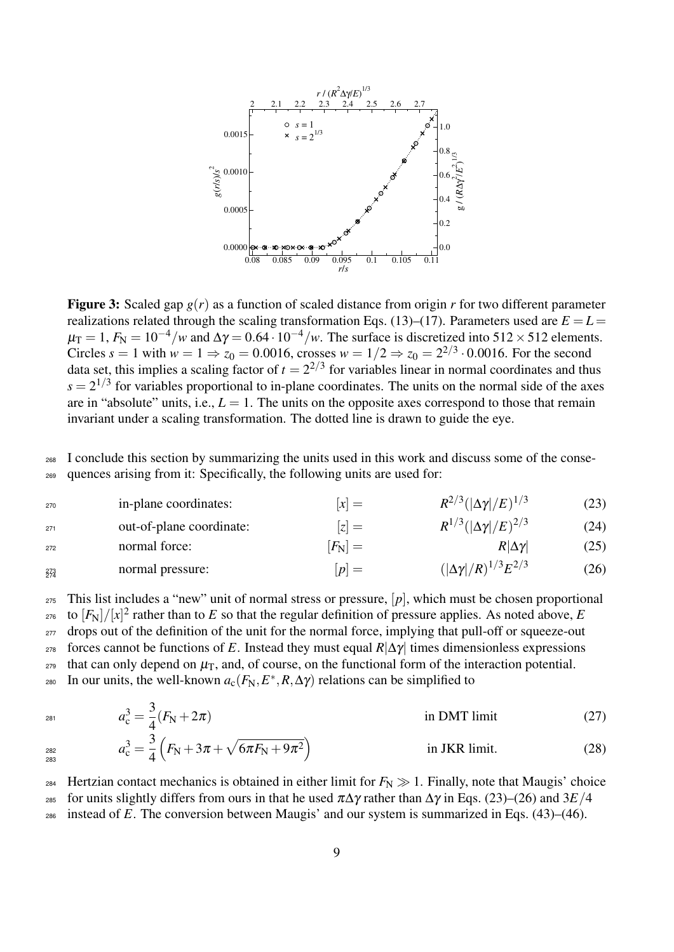

**Figure 3:** Scaled gap  $g(r)$  as a function of scaled distance from origin r for two different parameter realizations related through the scaling transformation Eqs. (13)–(17). Parameters used are  $E = L$  $\mu_T = 1$ ,  $F_N = 10^{-4}/w$  and  $\Delta \gamma = 0.64 \cdot 10^{-4}/w$ . The surface is discretized into 512 × 512 elements. Circles  $s = 1$  with  $w = 1 \Rightarrow z_0 = 0.0016$ , crosses  $w = 1/2 \Rightarrow z_0 = 2^{2/3} \cdot 0.0016$ . For the second data set, this implies a scaling factor of  $t = 2^{2/3}$  for variables linear in normal coordinates and thus  $s = 2^{1/3}$  for variables proportional to in-plane coordinates. The units on the normal side of the axes are in "absolute" units, i.e.,  $L = 1$ . The units on the opposite axes correspond to those that remain invariant under a scaling transformation. The dotted line is drawn to guide the eye.

<sup>268</sup> I conclude this section by summarizing the units used in this work and discuss some of the conse-<sup>269</sup> quences arising from it: Specifically, the following units are used for:

| 270        | in-plane coordinates:    | $[x] =$         | $R^{2/3}( \Delta\gamma /E)^{1/3}$   | (23) |
|------------|--------------------------|-----------------|-------------------------------------|------|
| 271        | out-of-plane coordinate: | $[z] =$         | $R^{1/3}( \Delta\gamma /E)^{2/3}$   | (24) |
| 272        | normal force:            | $[F_{\rm N}] =$ | $R \Delta\gamma $                   | (25) |
| 273<br>274 | normal pressure:         | $[p] =$         | $( \Delta \gamma /R)^{1/3} E^{2/3}$ | (26) |

 This list includes a "new" unit of normal stress or pressure,  $[p]$ , which must be chosen proportional <sup>276</sup> to  $[F_N]/[x]^2$  rather than to *E* so that the regular definition of pressure applies. As noted above, *E*  drops out of the definition of the unit for the normal force, implying that pull-off or squeeze-out forces cannot be functions of *E*. Instead they must equal *R*|∆γ| times dimensionless expressions that can only depend on  $\mu$ <sub>T</sub>, and, of course, on the functional form of the interaction potential.  $E_{280}$  In our units, the well-known  $a_c(F_N, E^*, R, \Delta \gamma)$  relations can be simplified to

$$
a_{\rm c}^3 = \frac{3}{4}(F_{\rm N} + 2\pi) \qquad \text{in DMT limit} \tag{27}
$$
\n
$$
a_{\rm c}^3 = \frac{3}{4}(F_{\rm N} + 3\pi + \sqrt{6\pi F_{\rm N} + 9\pi^2}) \qquad \text{in JKR limit.} \tag{28}
$$

283

4

<sup>284</sup> Hertzian contact mechanics is obtained in either limit for  $F_N \gg 1$ . Finally, note that Maugis' choice <sup>285</sup> for units slightly differs from ours in that he used π∆γ rather than ∆γ in Eqs. (23)–(26) and 3*E*/4 <sup>286</sup> instead of *E*. The conversion between Maugis' and our system is summarized in Eqs. (43)–(46).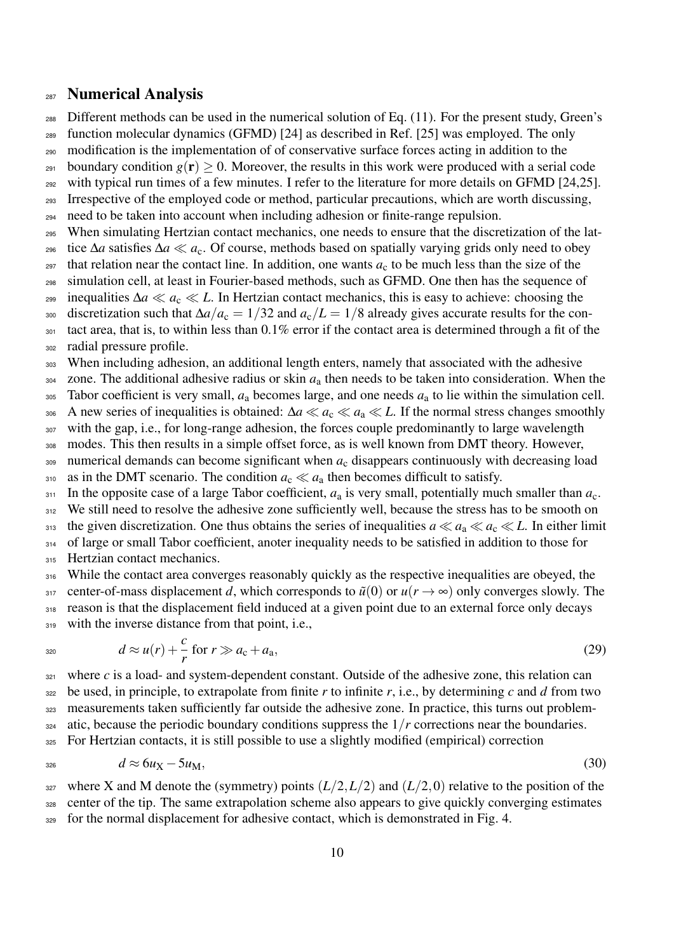#### Numerical Analysis

Different methods can be used in the numerical solution of Eq. (11). For the present study, Green's

function molecular dynamics (GFMD) [24] as described in Ref. [25] was employed. The only

modification is the implementation of of conservative surface forces acting in addition to the

- <sup>291</sup> boundary condition  $g(\mathbf{r}) \geq 0$ . Moreover, the results in this work were produced with a serial code
- <sup>292</sup> with typical run times of a few minutes. I refer to the literature for more details on GFMD [24,25].
- Irrespective of the employed code or method, particular precautions, which are worth discussing,
- need to be taken into account when including adhesion or finite-range repulsion.
- When simulating Hertzian contact mechanics, one needs to ensure that the discretization of the lat-
- tice ∆*a* satisfies ∆*a a*c. Of course, methods based on spatially varying grids only need to obey
- that relation near the contact line. In addition, one wants  $a_c$  to be much less than the size of the simulation cell, at least in Fourier-based methods, such as GFMD. One then has the sequence of
- <sup>299</sup> inequalities Δ*a*  $\ll a$ <sub>c</sub>  $\ll L$ . In Hertzian contact mechanics, this is easy to achieve: choosing the
- discretization such that ∆*a*/*a*<sup>c</sup> = 1/32 and *a*c/*L* = 1/8 already gives accurate results for the con-
- tact area, that is, to within less than 0.1% error if the contact area is determined through a fit of the
- radial pressure profile.

When including adhesion, an additional length enters, namely that associated with the adhesive

- zone. The additional adhesive radius or skin  $a<sub>a</sub>$  then needs to be taken into consideration. When the
- Tabor coefficient is very small, *a*<sup>a</sup> becomes large, and one needs *a*<sup>a</sup> to lie within the simulation cell.
- 306 A new series of inequalities is obtained:  $\Delta a \ll a_0 \ll a_1 \ll L$ . If the normal stress changes smoothly
- <sup>307</sup> with the gap, i.e., for long-range adhesion, the forces couple predominantly to large wavelength
- modes. This then results in a simple offset force, as is well known from DMT theory. However,
- numerical demands can become significant when *a*<sup>c</sup> disappears continuously with decreasing load 310 as in the DMT scenario. The condition  $a_c \ll a_a$  then becomes difficult to satisfy.

In the opposite case of a large Tabor coefficient,  $a_a$  is very small, potentially much smaller than  $a_c$ .

312 We still need to resolve the adhesive zone sufficiently well, because the stress has to be smooth on

- 313 the given discretization. One thus obtains the series of inequalities  $a \ll a_a \ll a_c \ll L$ . In either limit
- 314 of large or small Tabor coefficient, anoter inequality needs to be satisfied in addition to those for
- 315 Hertzian contact mechanics.
- While the contact area converges reasonably quickly as the respective inequalities are obeyed, the 317 center-of-mass displacement *d*, which corresponds to  $\tilde{u}(0)$  or  $u(r \to \infty)$  only converges slowly. The reason is that the displacement field induced at a given point due to an external force only decays 319 with the inverse distance from that point, i.e.,

$$
d \approx u(r) + \frac{c}{r} \text{ for } r \gg a_{\text{c}} + a_{\text{a}},\tag{29}
$$

 where *c* is a load- and system-dependent constant. Outside of the adhesive zone, this relation can 322 be used, in principle, to extrapolate from finite r to infinite r, i.e., by determining c and d from two measurements taken sufficiently far outside the adhesive zone. In practice, this turns out problem- atic, because the periodic boundary conditions suppress the  $1/r$  corrections near the boundaries. For Hertzian contacts, it is still possible to use a slightly modified (empirical) correction

$$
d \approx 6u_X - 5u_M, \tag{30}
$$

327 where X and M denote the (symmetry) points  $(L/2, L/2)$  and  $(L/2, 0)$  relative to the position of the center of the tip. The same extrapolation scheme also appears to give quickly converging estimates <sup>329</sup> for the normal displacement for adhesive contact, which is demonstrated in Fig. 4.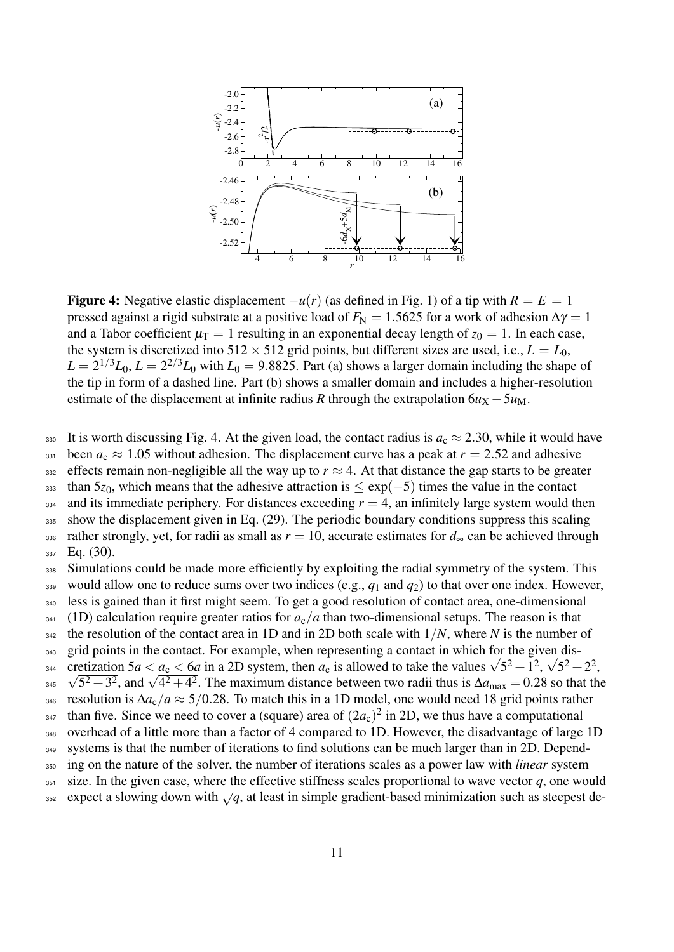

**Figure 4:** Negative elastic displacement  $-u(r)$  (as defined in Fig. 1) of a tip with  $R = E = 1$ pressed against a rigid substrate at a positive load of  $F_N = 1.5625$  for a work of adhesion  $\Delta \gamma = 1$ and a Tabor coefficient  $\mu_T = 1$  resulting in an exponential decay length of  $z_0 = 1$ . In each case, the system is discretized into  $512 \times 512$  grid points, but different sizes are used, i.e.,  $L = L_0$ ,  $L = 2^{1/3}L_0$ ,  $L = 2^{2/3}L_0$  with  $L_0 = 9.8825$ . Part (a) shows a larger domain including the shape of the tip in form of a dashed line. Part (b) shows a smaller domain and includes a higher-resolution estimate of the displacement at infinite radius *R* through the extrapolation  $6u<sub>X</sub> - 5u<sub>M</sub>$ .

330 It is worth discussing Fig. 4. At the given load, the contact radius is  $a_c \approx 2.30$ , while it would have

331 been  $a_c \approx 1.05$  without adhesion. The displacement curve has a peak at  $r = 2.52$  and adhesive

332 effects remain non-negligible all the way up to  $r \approx 4$ . At that distance the gap starts to be greater  $333$  than 5 $z_0$ , which means that the adhesive attraction is  $\leq \exp(-5)$  times the value in the contact  $334$  and its immediate periphery. For distances exceeding  $r = 4$ , an infinitely large system would then

<sup>335</sup> show the displacement given in Eq. (29). The periodic boundary conditions suppress this scaling 336 rather strongly, yet, for radii as small as  $r = 10$ , accurate estimates for  $d_{\infty}$  can be achieved through  $_{337}$  Eq. (30).

<sup>338</sup> Simulations could be made more efficiently by exploiting the radial symmetry of the system. This 339 would allow one to reduce sums over two indices (e.g.,  $q_1$  and  $q_2$ ) to that over one index. However, <sup>340</sup> less is gained than it first might seem. To get a good resolution of contact area, one-dimensional  $341$  (1D) calculation require greater ratios for  $a_c/a$  than two-dimensional setups. The reason is that <sup>342</sup> the resolution of the contact area in 1D and in 2D both scale with 1/*N*, where *N* is the number of  $_{343}$  grid points in the contact. For example, when representing a contact in which for the given diserror per senting a contact in which for the given dis-<br>
cretization  $5a < a_c < 6a$  in a 2D system, then  $a_c$  is allowed to take the values  $\sqrt{5^2 + 1^2}$ ,  $\sqrt{5^2 + 2^2}$ , <sup>344</sup> cretization 5*a* < *a*<sub>c</sub> < 6*a* in a 2D system, then *a*<sub>c</sub> is allowed to take the values  $\sqrt{5^2 + 1^2}$ ,  $\sqrt{5^2 + 3^2}$ , and  $\sqrt{4^2 + 4^2}$ . The maximum distance between two radii thus is Δ*a*<sub>max</sub> = 0.28 so tha <sup>346</sup> resolution is ∆*a*c/*a* ≈ 5/0.28. To match this in a 1D model, one would need 18 grid points rather <sup>347</sup> than five. Since we need to cover a (square) area of  $(2a_c)^2$  in 2D, we thus have a computational <sup>348</sup> overhead of a little more than a factor of 4 compared to 1D. However, the disadvantage of large 1D <sup>349</sup> systems is that the number of iterations to find solutions can be much larger than in 2D. Depend-<sup>350</sup> ing on the nature of the solver, the number of iterations scales as a power law with *linear* system  $351$  size. In the given case, where the effective stiffness scales proportional to wave vector  $q$ , one would expect a slowing down with  $\sqrt{q}$ , at least in simple gradient-based minimization such as steepest de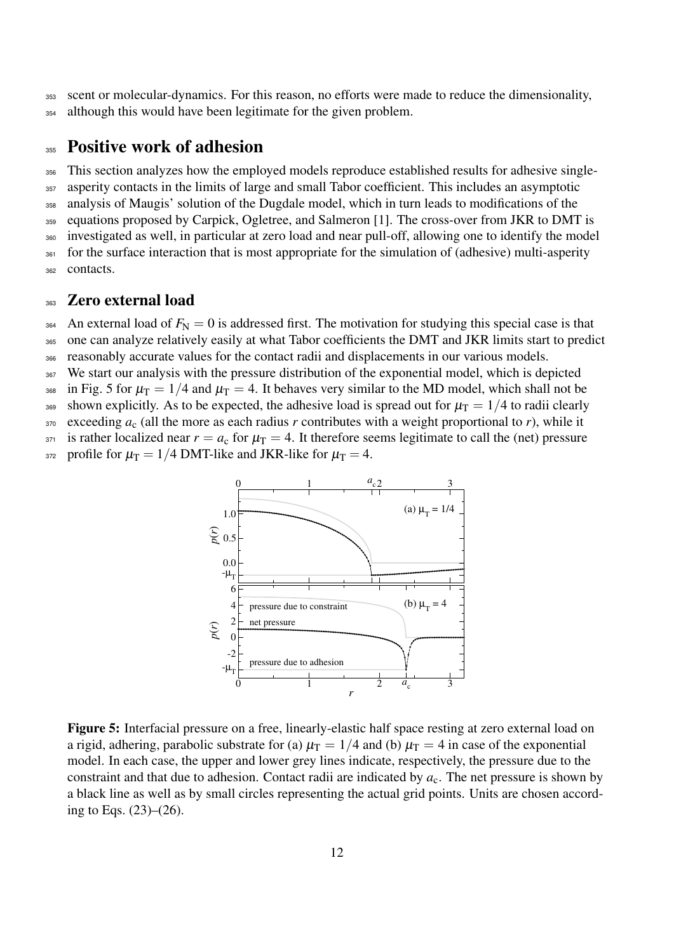<sup>353</sup> scent or molecular-dynamics. For this reason, no efforts were made to reduce the dimensionality, 354 although this would have been legitimate for the given problem.

## 355 Positive work of adhesion

356 This section analyzes how the employed models reproduce established results for adhesive single- asperity contacts in the limits of large and small Tabor coefficient. This includes an asymptotic analysis of Maugis' solution of the Dugdale model, which in turn leads to modifications of the equations proposed by Carpick, Ogletree, and Salmeron [1]. The cross-over from JKR to DMT is investigated as well, in particular at zero load and near pull-off, allowing one to identify the model <sup>361</sup> for the surface interaction that is most appropriate for the simulation of (adhesive) multi-asperity contacts.

### 363 Zero external load

 $364$  An external load of  $F_N = 0$  is addressed first. The motivation for studying this special case is that <sup>365</sup> one can analyze relatively easily at what Tabor coefficients the DMT and JKR limits start to predict

<sup>366</sup> reasonably accurate values for the contact radii and displacements in our various models.

<sup>367</sup> We start our analysis with the pressure distribution of the exponential model, which is depicted <sup>368</sup> in Fig. 5 for  $\mu$ <sub>T</sub> = 1/4 and  $\mu$ <sub>T</sub> = 4. It behaves very similar to the MD model, which shall not be

369 shown explicitly. As to be expected, the adhesive load is spread out for  $\mu$ <sub>T</sub> = 1/4 to radii clearly

 $370$  exceeding  $a_c$  (all the more as each radius *r* contributes with a weight proportional to *r*), while it

<sup>371</sup> is rather localized near  $r = a_c$  for  $\mu$ <sub>T</sub> = 4. It therefore seems legitimate to call the (net) pressure

372 profile for  $\mu_{\rm T} = 1/4$  DMT-like and JKR-like for  $\mu_{\rm T} = 4$ .



Figure 5: Interfacial pressure on a free, linearly-elastic half space resting at zero external load on a rigid, adhering, parabolic substrate for (a)  $\mu_T = 1/4$  and (b)  $\mu_T = 4$  in case of the exponential model. In each case, the upper and lower grey lines indicate, respectively, the pressure due to the constraint and that due to adhesion. Contact radii are indicated by  $a_c$ . The net pressure is shown by a black line as well as by small circles representing the actual grid points. Units are chosen according to Eqs. (23)–(26).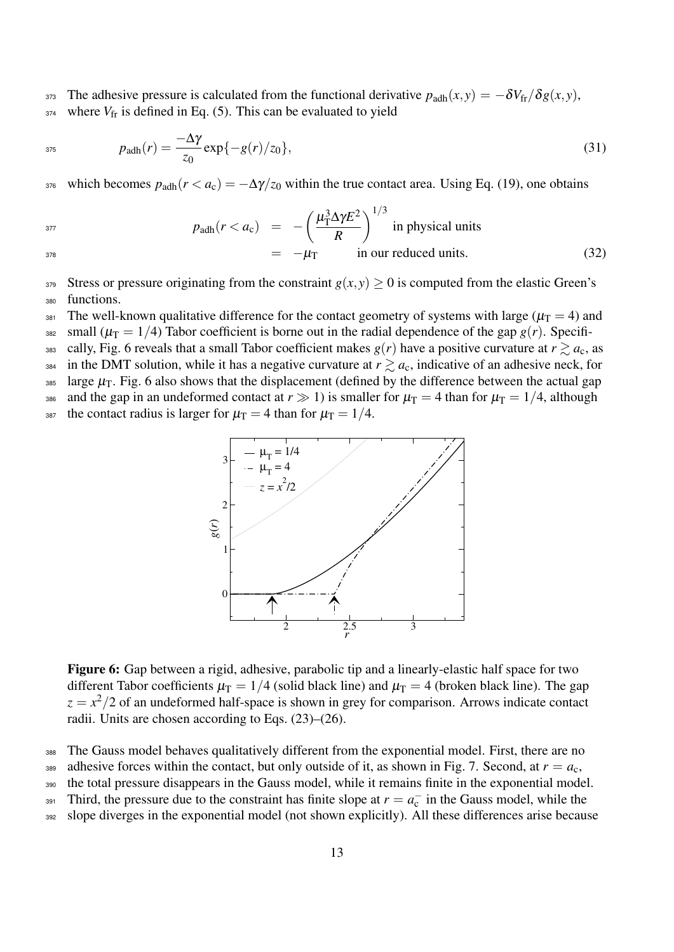373 The adhesive pressure is calculated from the functional derivative  $p_{\text{adh}}(x, y) = -\delta V_{\text{fr}}/\delta g(x, y)$ ,  $v_{\text{fr}}$  where  $V_{\text{fr}}$  is defined in Eq. (5). This can be evaluated to yield

$$
p_{\text{adh}}(r) = \frac{-\Delta \gamma}{z_0} \exp\{-g(r)/z_0\},\tag{31}
$$

376 which becomes  $p_{\text{adh}}(r < a_{\text{c}}) = -\Delta \gamma / z_0$  within the true contact area. Using Eq. (19), one obtains

 $\mu_{\rm T}^3$ 

 $rac{3}{T}$ Δγ $E^2$ *R*

 $\bigwedge$ <sup>1/3</sup>

 $= -\mu_{\rm T}$  in our reduced units. (32)

$$
p_{\text{adh}}(r < a_{\text{c}}) = -\left(\frac{\mu_{\text{T}}^3 \Delta \gamma E^2}{R}\right)^{1/3} \text{ in physical units}
$$

$$
378\\
$$

379 Stress or pressure originating from the constraint  $g(x, y) \ge 0$  is computed from the elastic Green's <sup>380</sup> functions.

381 The well-known qualitative difference for the contact geometry of systems with large ( $\mu_T = 4$ ) and

<sup>382</sup> small ( $\mu_T = 1/4$ ) Tabor coefficient is borne out in the radial dependence of the gap  $g(r)$ . Specifi-

383 cally, Fig. 6 reveals that a small Tabor coefficient makes  $g(r)$  have a positive curvature at  $r \gtrsim a_c$ , as

<sup>384</sup> in the DMT solution, while it has a negative curvature at  $r \gtrsim a_c$ , indicative of an adhesive neck, for

385 large  $\mu$ <sub>T</sub>. Fig. 6 also shows that the displacement (defined by the difference between the actual gap

386 and the gap in an undeformed contact at  $r \gg 1$ ) is smaller for  $\mu_T = 4$  than for  $\mu_T = 1/4$ , although

<sup>387</sup> the contact radius is larger for  $\mu$ <sub>T</sub> = 4 than for  $\mu$ <sub>T</sub> = 1/4.



Figure 6: Gap between a rigid, adhesive, parabolic tip and a linearly-elastic half space for two different Tabor coefficients  $\mu_T = 1/4$  (solid black line) and  $\mu_T = 4$  (broken black line). The gap  $z = x^2/2$  of an undeformed half-space is shown in grey for comparison. Arrows indicate contact radii. Units are chosen according to Eqs. (23)–(26).

<sup>388</sup> The Gauss model behaves qualitatively different from the exponential model. First, there are no

389 adhesive forces within the contact, but only outside of it, as shown in Fig. 7. Second, at  $r = a_c$ ,

<sup>390</sup> the total pressure disappears in the Gauss model, while it remains finite in the exponential model.

 $T_{391}$  Third, the pressure due to the constraint has finite slope at  $r = a_c^-$  in the Gauss model, while the

392 slope diverges in the exponential model (not shown explicitly). All these differences arise because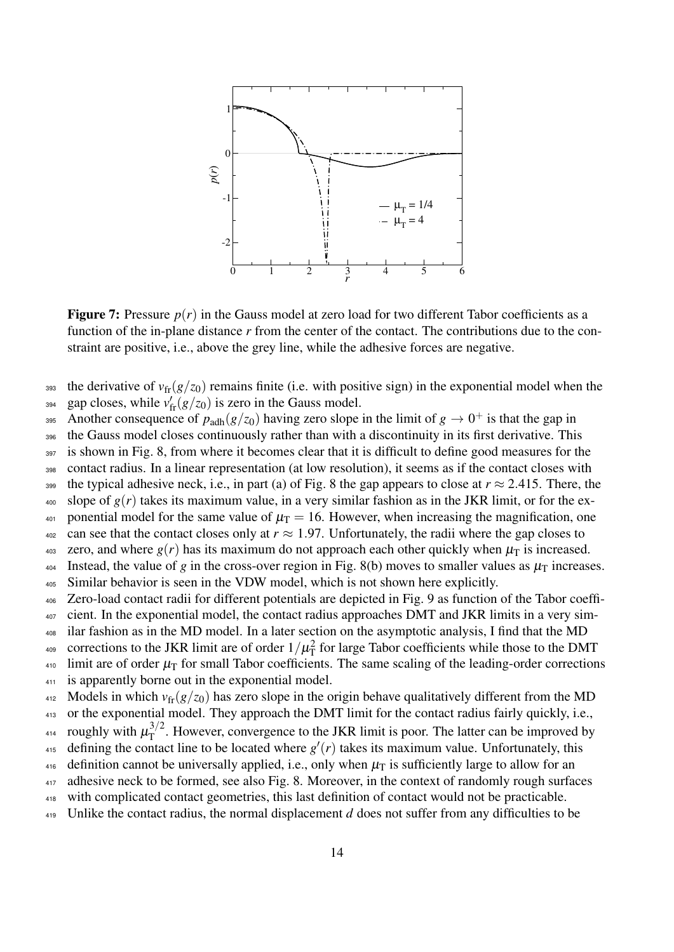

**Figure 7:** Pressure  $p(r)$  in the Gauss model at zero load for two different Tabor coefficients as a function of the in-plane distance r from the center of the contact. The contributions due to the constraint are positive, i.e., above the grey line, while the adhesive forces are negative.

- <sup>393</sup> the derivative of  $v_{\rm fr}(g/z_0)$  remains finite (i.e. with positive sign) in the exponential model when the
- gap closes, while  $v'_{\text{fr}}(g/z_0)$  is zero in the Gauss model.
- Another consequence of  $p_{\text{adh}}(g/z_0)$  having zero slope in the limit of  $g \to 0^+$  is that the gap in
- <sup>396</sup> the Gauss model closes continuously rather than with a discontinuity in its first derivative. This
- 397 is shown in Fig. 8, from where it becomes clear that it is difficult to define good measures for the
- <sup>398</sup> contact radius. In a linear representation (at low resolution), it seems as if the contact closes with
- 399 the typical adhesive neck, i.e., in part (a) of Fig. 8 the gap appears to close at  $r \approx 2.415$ . There, the
- $\frac{400}{400}$  slope of  $g(r)$  takes its maximum value, in a very similar fashion as in the JKR limit, or for the ex-401 ponential model for the same value of  $\mu$ <sub>T</sub> = 16. However, when increasing the magnification, one
- $402$  can see that the contact closes only at  $r \approx 1.97$ . Unfortunately, the radii where the gap closes to
- 403 zero, and where  $g(r)$  has its maximum do not approach each other quickly when  $\mu_{\rm T}$  is increased.
- 404 Instead, the value of *g* in the cross-over region in Fig. 8(b) moves to smaller values as  $\mu$ <sup>T</sup> increases.
- <sup>405</sup> Similar behavior is seen in the VDW model, which is not shown here explicitly.
- <sup>406</sup> Zero-load contact radii for different potentials are depicted in Fig. 9 as function of the Tabor coeffi-
- <sup>407</sup> cient. In the exponential model, the contact radius approaches DMT and JKR limits in a very sim-
- <sup>408</sup> ilar fashion as in the MD model. In a later section on the asymptotic analysis, I find that the MD
- <sup>409</sup> corrections to the JKR limit are of order  $1/\mu_{\rm T}^2$  for large Tabor coefficients while those to the DMT
- $410$  limit are of order  $\mu$ <sub>T</sub> for small Tabor coefficients. The same scaling of the leading-order corrections
- <sup>411</sup> is apparently borne out in the exponential model.
- 412 Models in which  $v_{\rm fr}(g/z_0)$  has zero slope in the origin behave qualitatively different from the MD 413 or the exponential model. They approach the DMT limit for the contact radius fairly quickly, i.e.,
- roughly with  $\mu_T^{3/2}$
- <sup>414</sup> roughly with  $\mu_T^{3/2}$ . However, convergence to the JKR limit is poor. The latter can be improved by 415 defining the contact line to be located where  $g'(r)$  takes its maximum value. Unfortunately, this
- 416 definition cannot be universally applied, i.e., only when  $\mu$ <sup>T</sup> is sufficiently large to allow for an
- 417 adhesive neck to be formed, see also Fig. 8. Moreover, in the context of randomly rough surfaces
- <sup>418</sup> with complicated contact geometries, this last definition of contact would not be practicable.
- <sup>419</sup> Unlike the contact radius, the normal displacement *d* does not suffer from any difficulties to be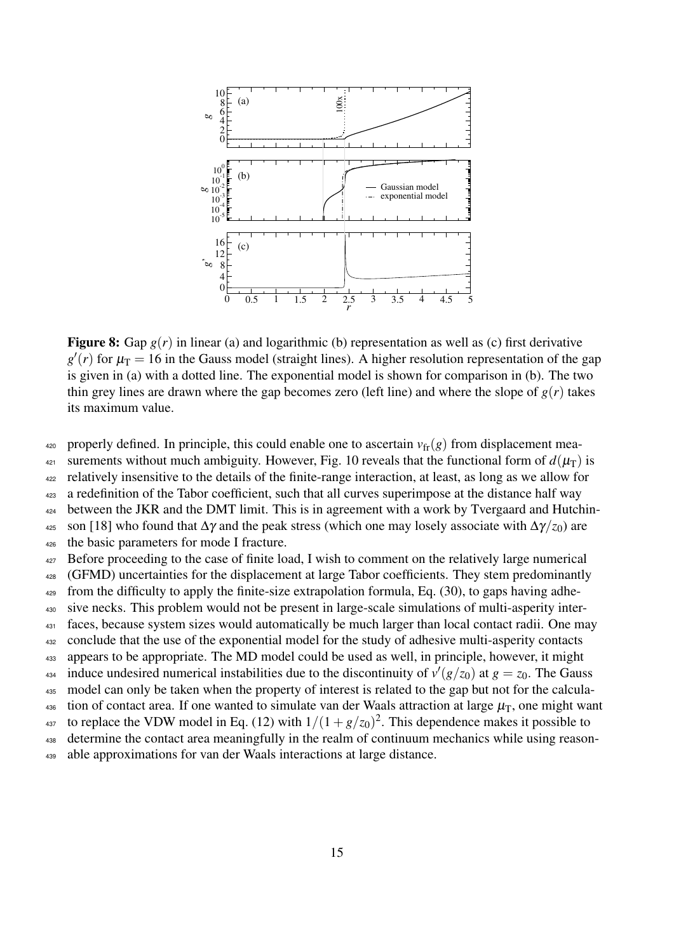

**Figure 8:** Gap  $g(r)$  in linear (a) and logarithmic (b) representation as well as (c) first derivative  $g'(r)$  for  $\mu$ <sub>T</sub> = 16 in the Gauss model (straight lines). A higher resolution representation of the gap is given in (a) with a dotted line. The exponential model is shown for comparison in (b). The two thin grey lines are drawn where the gap becomes zero (left line) and where the slope of  $g(r)$  takes its maximum value.

420 properly defined. In principle, this could enable one to ascertain  $v_{\text{fr}}(g)$  from displacement mea-

421 surements without much ambiguity. However, Fig. 10 reveals that the functional form of  $d(\mu)$  is

<sup>422</sup> relatively insensitive to the details of the finite-range interaction, at least, as long as we allow for

<sup>423</sup> a redefinition of the Tabor coefficient, such that all curves superimpose at the distance half way

<sup>424</sup> between the JKR and the DMT limit. This is in agreement with a work by Tvergaard and Hutchin-<sup>425</sup> son [18] who found that  $\Delta \gamma$  and the peak stress (which one may losely associate with  $\Delta \gamma/z_0$ ) are

<sup>426</sup> the basic parameters for mode I fracture.

<sup>427</sup> Before proceeding to the case of finite load, I wish to comment on the relatively large numerical

428 (GFMD) uncertainties for the displacement at large Tabor coefficients. They stem predominantly

 $_{429}$  from the difficulty to apply the finite-size extrapolation formula, Eq. (30), to gaps having adhe-

<sup>430</sup> sive necks. This problem would not be present in large-scale simulations of multi-asperity inter-

<sup>431</sup> faces, because system sizes would automatically be much larger than local contact radii. One may

<sup>432</sup> conclude that the use of the exponential model for the study of adhesive multi-asperity contacts <sup>433</sup> appears to be appropriate. The MD model could be used as well, in principle, however, it might

induce undesired numerical instabilities due to the discontinuity of  $v'(g/z_0)$  at  $g = z_0$ . The Gauss

435 model can only be taken when the property of interest is related to the gap but not for the calcula-

436 tion of contact area. If one wanted to simulate van der Waals attraction at large  $\mu_T$ , one might want

<sup>437</sup> to replace the VDW model in Eq. (12) with  $1/(1 + g/z_0)^2$ . This dependence makes it possible to

<sup>438</sup> determine the contact area meaningfully in the realm of continuum mechanics while using reason-

<sup>439</sup> able approximations for van der Waals interactions at large distance.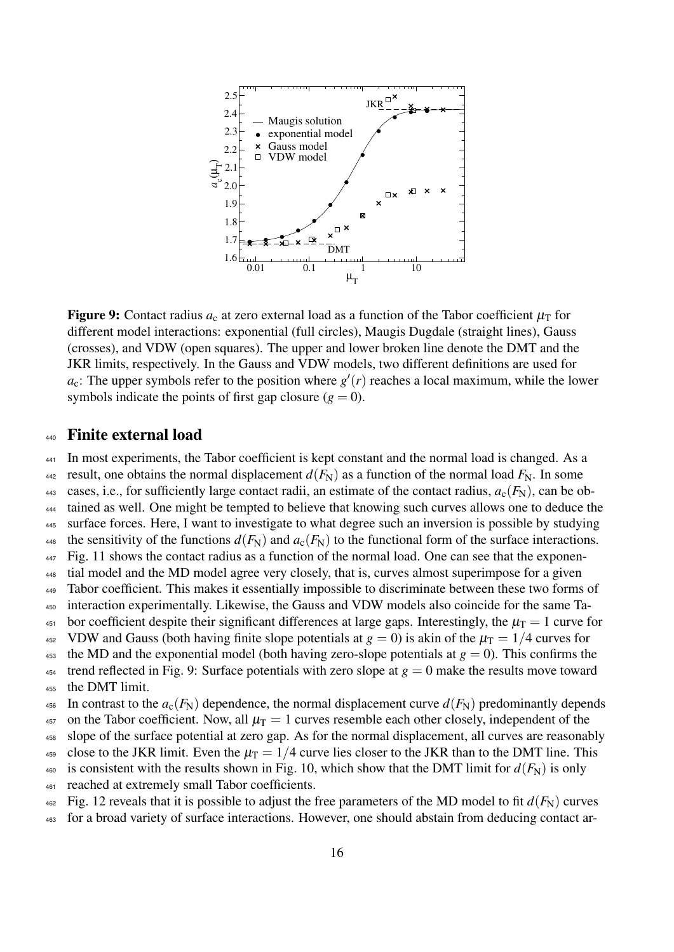

**Figure 9:** Contact radius  $a_c$  at zero external load as a function of the Tabor coefficient  $\mu$ <sub>T</sub> for different model interactions: exponential (full circles), Maugis Dugdale (straight lines), Gauss (crosses), and VDW (open squares). The upper and lower broken line denote the DMT and the JKR limits, respectively. In the Gauss and VDW models, two different definitions are used for  $a_c$ : The upper symbols refer to the position where  $g'(r)$  reaches a local maximum, while the lower symbols indicate the points of first gap closure  $(g = 0)$ .

#### <sup>440</sup> Finite external load

<sup>441</sup> In most experiments, the Tabor coefficient is kept constant and the normal load is changed. As a

<sup>442</sup> result, one obtains the normal displacement  $d(F_N)$  as a function of the normal load  $F_N$ . In some

443 cases, i.e., for sufficiently large contact radii, an estimate of the contact radius,  $a_c(F_N)$ , can be ob-

<sup>444</sup> tained as well. One might be tempted to believe that knowing such curves allows one to deduce the

<sup>445</sup> surface forces. Here, I want to investigate to what degree such an inversion is possible by studying 446 the sensitivity of the functions  $d(F_N)$  and  $a_c(F_N)$  to the functional form of the surface interactions.

- $_{447}$  Fig. 11 shows the contact radius as a function of the normal load. One can see that the exponen-
- <sup>448</sup> tial model and the MD model agree very closely, that is, curves almost superimpose for a given
- <sup>449</sup> Tabor coefficient. This makes it essentially impossible to discriminate between these two forms of
- <sup>450</sup> interaction experimentally. Likewise, the Gauss and VDW models also coincide for the same Ta-
- <sup>451</sup> bor coefficient despite their significant differences at large gaps. Interestingly, the  $\mu$ <sub>T</sub> = 1 curve for
- <sup>452</sup> VDW and Gauss (both having finite slope potentials at  $g = 0$ ) is akin of the  $\mu$ <sub>T</sub> = 1/4 curves for
- 453 the MD and the exponential model (both having zero-slope potentials at  $g = 0$ ). This confirms the <sup>454</sup> trend reflected in Fig. 9: Surface potentials with zero slope at  $g = 0$  make the results move toward <sup>455</sup> the DMT limit.
- 

456 In contrast to the  $a_c(F_N)$  dependence, the normal displacement curve  $d(F_N)$  predominantly depends

457 on the Tabor coefficient. Now, all  $\mu$ <sub>T</sub> = 1 curves resemble each other closely, independent of the

<sup>458</sup> slope of the surface potential at zero gap. As for the normal displacement, all curves are reasonably

- 459 close to the JKR limit. Even the  $\mu_T = 1/4$  curve lies closer to the JKR than to the DMT line. This
- 460 is consistent with the results shown in Fig. 10, which show that the DMT limit for  $d(F_N)$  is only <sup>461</sup> reached at extremely small Tabor coefficients.
- $_{462}$  Fig. 12 reveals that it is possible to adjust the free parameters of the MD model to fit  $d(F_N)$  curves
- <sup>463</sup> for a broad variety of surface interactions. However, one should abstain from deducing contact ar-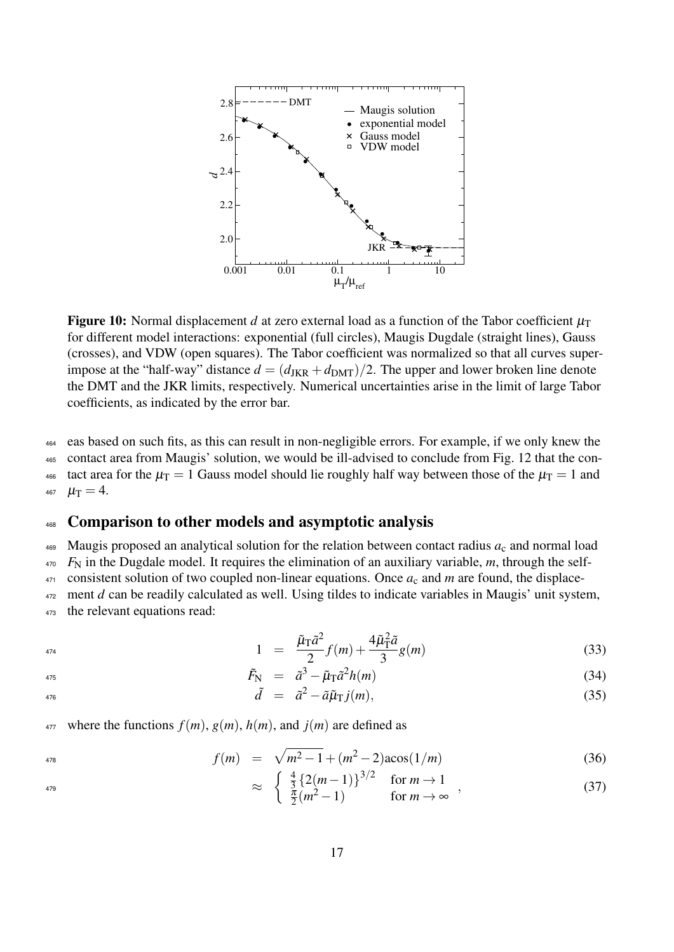

**Figure 10:** Normal displacement *d* at zero external load as a function of the Tabor coefficient  $\mu$ <sup>T</sup> for different model interactions: exponential (full circles), Maugis Dugdale (straight lines), Gauss (crosses), and VDW (open squares). The Tabor coefficient was normalized so that all curves superimpose at the "half-way" distance  $d = (d_{JKR} + d_{DMT})/2$ . The upper and lower broken line denote the DMT and the JKR limits, respectively. Numerical uncertainties arise in the limit of large Tabor coefficients, as indicated by the error bar.

 eas based on such fits, as this can result in non-negligible errors. For example, if we only knew the contact area from Maugis' solution, we would be ill-advised to conclude from Fig. 12 that the con-466 tact area for the  $\mu_T = 1$  Gauss model should lie roughly half way between those of the  $\mu_T = 1$  and  $\mu_{\rm T} = 4$ .

### 468 Comparison to other models and asymptotic analysis

469 Maugis proposed an analytical solution for the relation between contact radius  $a_c$  and normal load

<sup>470</sup> *F*<sup>N</sup> in the Dugdale model. It requires the elimination of an auxiliary variable, *m*, through the self-

 $471$  consistent solution of two coupled non-linear equations. Once  $a_c$  and  $m$  are found, the displace-

472 ment *d* can be readily calculated as well. Using tildes to indicate variables in Maugis' unit system, <sup>473</sup> the relevant equations read:

$$
1 = \frac{\tilde{\mu}_{\rm T}\tilde{a}^2}{2}f(m) + \frac{4\tilde{\mu}_{\rm T}^2\tilde{a}}{3}g(m) \tag{33}
$$

$$
\tilde{F}_{\rm N} = \tilde{a}^3 - \tilde{\mu}_{\rm T} \tilde{a}^2 h(m) \tag{34}
$$

$$
\tilde{d} = \tilde{a}^2 - \tilde{a}\tilde{\mu}_{\rm T}j(m),\tag{35}
$$

477 where the functions  $f(m)$ ,  $g(m)$ ,  $h(m)$ , and  $j(m)$  are defined as

$$
f(m) = \sqrt{m^2 - 1} + (m^2 - 2)\arccos(1/m) \tag{36}
$$

$$
\approx \begin{cases} \frac{4}{3} \left\{ 2(m-1) \right\}^{3/2} & \text{for } m \to 1 \\ \frac{\pi}{2}(m^2 - 1) & \text{for } m \to \infty \end{cases}, \tag{37}
$$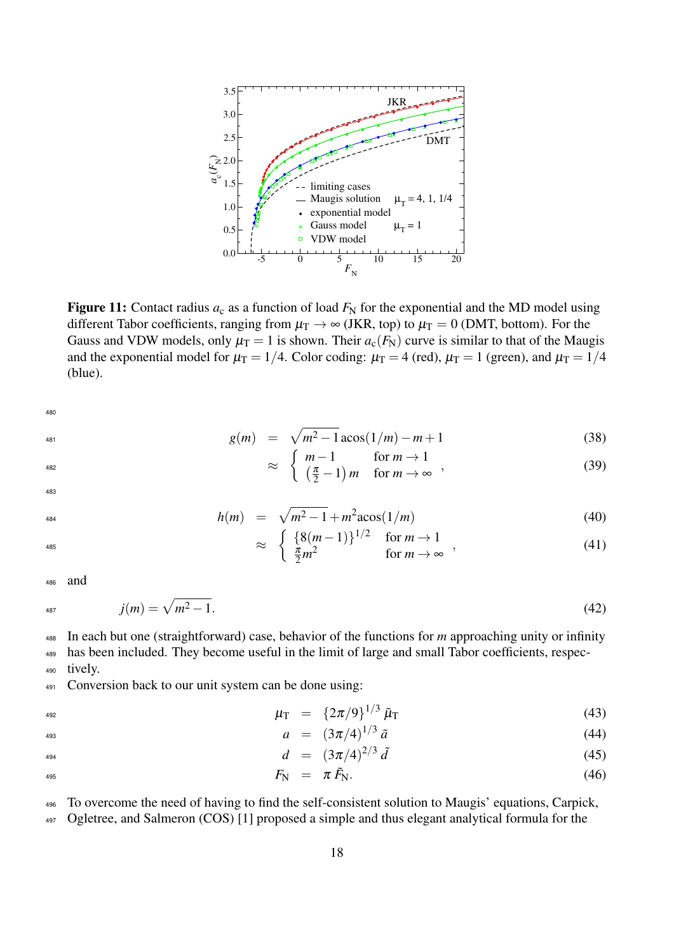

Figure 11: Contact radius  $a_c$  as a function of load  $F_N$  for the exponential and the MD model using different Tabor coefficients, ranging from  $\mu_T \to \infty$  (JKR, top) to  $\mu_T = 0$  (DMT, bottom). For the Gauss and VDW models, only  $\mu_T = 1$  is shown. Their  $a_c(F_N)$  curve is similar to that of the Maugis and the exponential model for  $\mu_T = 1/4$ . Color coding:  $\mu_T = 4$  (red),  $\mu_T = 1$  (green), and  $\mu_T = 1/4$ (blue).

480

$$
^{481}
$$

$$
\sum_{i=1}^{n} a_i
$$

$$
g(m) = \sqrt{m^2 - 1} \arccos(1/m) - m + 1 \tag{38}
$$

$$
\approx \begin{cases} m-1 & \text{for } m \to 1 \\ \left(\frac{\pi}{2} - 1\right)m & \text{for } m \to \infty \end{cases}, \tag{39}
$$

483

$$
h(m) = \sqrt{m^2 - 1} + m^2 \text{acos}(1/m) \tag{40}
$$

$$
\approx \begin{cases} \{8(m-1)\}^{1/2} & \text{for } m \to 1\\ \frac{\pi}{2}m^2 & \text{for } m \to \infty \end{cases}, \tag{41}
$$

<sup>486</sup> and

$$
j(m) = \sqrt{m^2 - 1}.
$$
\n(42)

<sup>488</sup> In each but one (straightforward) case, behavior of the functions for *m* approaching unity or infinity <sup>489</sup> has been included. They become useful in the limit of large and small Tabor coefficients, respec-

<sup>490</sup> tively.

<sup>491</sup> Conversion back to our unit system can be done using:

$$
\mu_{\rm T} = \{2\pi/9\}^{1/3} \tilde{\mu}_{\rm T} \tag{43}
$$

$$
a = (3\pi/4)^{1/3} \tilde{a} \tag{44}
$$

$$
d = (3\pi/4)^{2/3} \tilde{d} \tag{45}
$$

$$
F_{\rm N} = \pi \tilde{F}_{\rm N}.
$$
 (46)

<sup>496</sup> To overcome the need of having to find the self-consistent solution to Maugis' equations, Carpick,

497 Ogletree, and Salmeron (COS) [1] proposed a simple and thus elegant analytical formula for the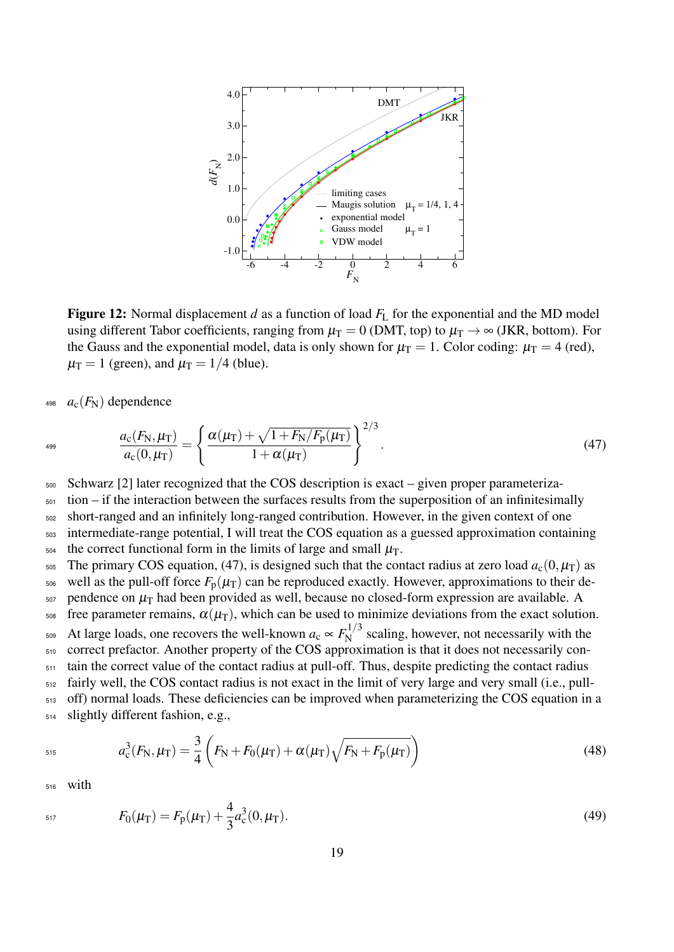

**Figure 12:** Normal displacement *d* as a function of load  $F<sub>L</sub>$  for the exponential and the MD model using different Tabor coefficients, ranging from  $\mu_T = 0$  (DMT, top) to  $\mu_T \rightarrow \infty$  (JKR, bottom). For the Gauss and the exponential model, data is only shown for  $\mu_T = 1$ . Color coding:  $\mu_T = 4$  (red),  $\mu$ <sub>T</sub> = 1 (green), and  $\mu$ <sub>T</sub> = 1/4 (blue).

 $a_c(F_N)$  dependence

$$
\frac{a_{\rm c}(F_{\rm N},\mu_{\rm T})}{a_{\rm c}(0,\mu_{\rm T})} = \left\{ \frac{\alpha(\mu_{\rm T}) + \sqrt{1 + F_{\rm N}/F_{\rm p}(\mu_{\rm T})}}{1 + \alpha(\mu_{\rm T})} \right\}^{2/3}.
$$
\n(47)

<sup>500</sup> Schwarz [2] later recognized that the COS description is exact – given proper parameteriza-

 $501$  tion – if the interaction between the surfaces results from the superposition of an infinitesimally <sup>502</sup> short-ranged and an infinitely long-ranged contribution. However, in the given context of one <sup>503</sup> intermediate-range potential, I will treat the COS equation as a guessed approximation containing

 $_{504}$  the correct functional form in the limits of large and small  $\mu$ <sub>T</sub>.

505 The primary COS equation, (47), is designed such that the contact radius at zero load  $a_c(0,\mu_T)$  as

506 well as the pull-off force  $F_p(\mu)$  can be reproduced exactly. However, approximations to their de- $507$  pendence on  $\mu$ <sub>T</sub> had been provided as well, because no closed-form expression are available. A

 $\frac{1}{508}$  free parameter remains,  $\alpha(\mu_T)$ , which can be used to minimize deviations from the exact solution.

At large loads, one recovers the well-known  $a_c \propto F_N^{1/3}$ <sup>509</sup> At large loads, one recovers the well-known  $a_c \propto F_N^{1/3}$  scaling, however, not necessarily with the <sup>510</sup> correct prefactor. Another property of the COS approximation is that it does not necessarily con- $511$  tain the correct value of the contact radius at pull-off. Thus, despite predicting the contact radius

<sup>512</sup> fairly well, the COS contact radius is not exact in the limit of very large and very small (i.e., pull- $513$  off) normal loads. These deficiencies can be improved when parameterizing the COS equation in a <sup>514</sup> slightly different fashion, e.g.,

$$
a_{\rm c}^3(F_{\rm N},\mu_{\rm T}) = \frac{3}{4} \left( F_{\rm N} + F_0(\mu_{\rm T}) + \alpha(\mu_{\rm T}) \sqrt{F_{\rm N} + F_{\rm p}(\mu_{\rm T})} \right) \tag{48}
$$

<sup>516</sup> with

$$
F_0(\mu_T) = F_p(\mu_T) + \frac{4}{3}a_c^3(0,\mu_T). \tag{49}
$$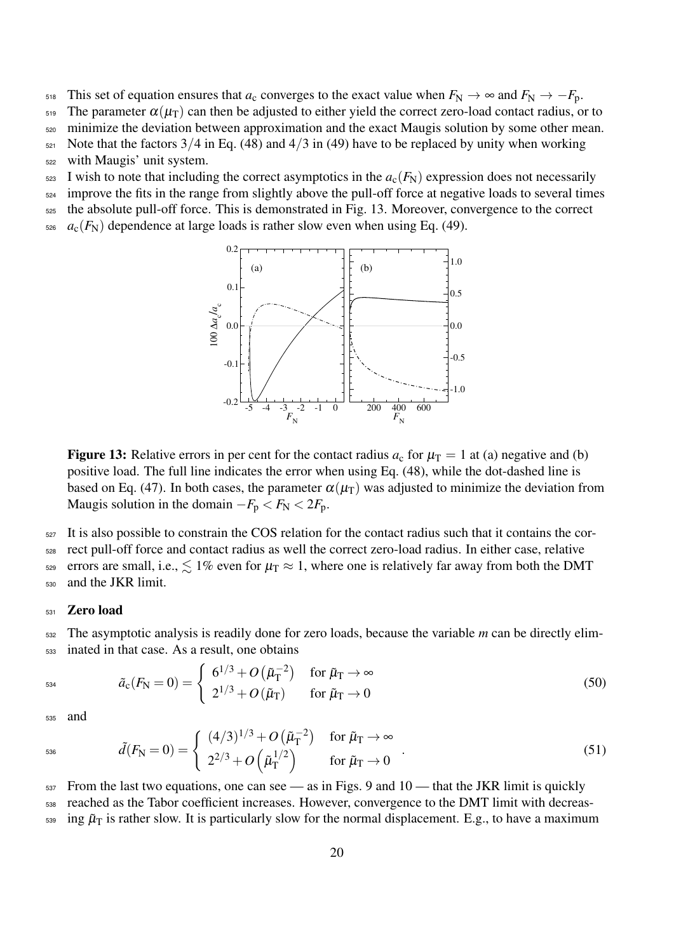518 This set of equation ensures that  $a_c$  converges to the exact value when  $F_N \to \infty$  and  $F_N \to -F_p$ .

<sup>519</sup> The parameter  $\alpha(\mu_T)$  can then be adjusted to either yield the correct zero-load contact radius, or to

<sup>520</sup> minimize the deviation between approximation and the exact Maugis solution by some other mean.

 $521$  Note that the factors  $3/4$  in Eq. (48) and  $4/3$  in (49) have to be replaced by unity when working

<sup>522</sup> with Maugis' unit system.

 $523$  I wish to note that including the correct asymptotics in the  $a_c(F_N)$  expression does not necessarily

<sup>524</sup> improve the fits in the range from slightly above the pull-off force at negative loads to several times

- <sup>525</sup> the absolute pull-off force. This is demonstrated in Fig. 13. Moreover, convergence to the correct
- $526$  *a<sub>c</sub>*( $F_N$ ) dependence at large loads is rather slow even when using Eq. (49).



**Figure 13:** Relative errors in per cent for the contact radius  $a_c$  for  $\mu_T = 1$  at (a) negative and (b) positive load. The full line indicates the error when using Eq. (48), while the dot-dashed line is based on Eq. (47). In both cases, the parameter  $\alpha(\mu_T)$  was adjusted to minimize the deviation from Maugis solution in the domain  $-F_p < F_N < 2F_p$ .

<sup>527</sup> It is also possible to constrain the COS relation for the contact radius such that it contains the cor-

<sup>528</sup> rect pull-off force and contact radius as well the correct zero-load radius. In either case, relative 529 errors are small, i.e.,  $\lesssim 1\%$  even for  $\mu$ <sub>T</sub>  $\approx 1$ , where one is relatively far away from both the DMT

<sup>530</sup> and the JKR limit.

#### 531 Zero load

<sup>532</sup> The asymptotic analysis is readily done for zero loads, because the variable *m* can be directly elim-<sup>533</sup> inated in that case. As a result, one obtains

$$
\tilde{a}_{\rm c}(F_{\rm N}=0) = \begin{cases}\n6^{1/3} + O\left(\tilde{\mu}_{\rm T}^{-2}\right) & \text{for } \tilde{\mu}_{\rm T} \to \infty \\
2^{1/3} + O\left(\tilde{\mu}_{\rm T}\right) & \text{for } \tilde{\mu}_{\rm T} \to 0\n\end{cases}
$$
\n(50)

<sup>535</sup> and

$$
\tilde{d}(F_{\rm N} = 0) = \begin{cases}\n(4/3)^{1/3} + O(\tilde{\mu}_{\rm T}^{-2}) & \text{for } \tilde{\mu}_{\rm T} \to \infty \\
2^{2/3} + O(\tilde{\mu}_{\rm T}^{1/2}) & \text{for } \tilde{\mu}_{\rm T} \to 0\n\end{cases}.
$$
\n(51)

 $537$  From the last two equations, one can see — as in Figs. 9 and 10 — that the JKR limit is quickly <sup>538</sup> reached as the Tabor coefficient increases. However, convergence to the DMT limit with decreas- $_{539}$  ing  $\tilde{\mu}_T$  is rather slow. It is particularly slow for the normal displacement. E.g., to have a maximum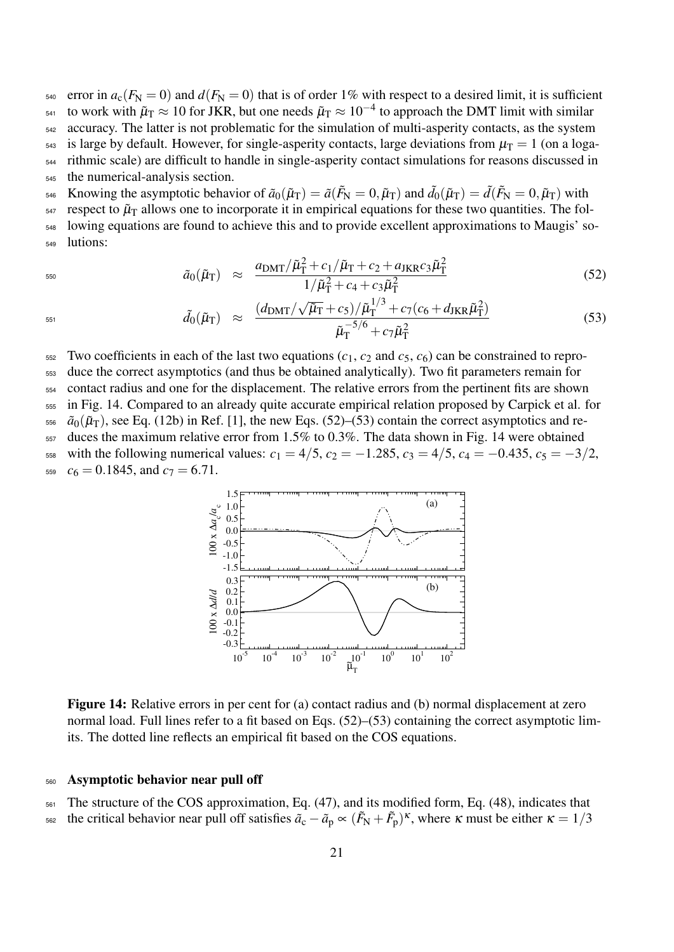$_{540}$  error in  $a_c(F_N = 0)$  and  $d(F_N = 0)$  that is of order 1% with respect to a desired limit, it is sufficient 541 to work with  $\tilde{\mu}_T \approx 10$  for JKR, but one needs  $\tilde{\mu}_T \approx 10^{-4}$  to approach the DMT limit with similar <sup>542</sup> accuracy. The latter is not problematic for the simulation of multi-asperity contacts, as the system <sup>543</sup> is large by default. However, for single-asperity contacts, large deviations from  $\mu$ <sub>T</sub> = 1 (on a loga-<sup>544</sup> rithmic scale) are difficult to handle in single-asperity contact simulations for reasons discussed in <sup>545</sup> the numerical-analysis section.  $\tilde{\mu}_{\text{A46}}$  Knowing the asymptotic behavior of  $\tilde{a}_0(\tilde{\mu}_T) = \tilde{a}(\tilde{F}_N = 0, \tilde{\mu}_T)$  and  $\tilde{d}_0(\tilde{\mu}_T) = \tilde{d}(\tilde{F}_N = 0, \tilde{\mu}_T)$  with

 $547$  respect to  $\tilde{\mu}_T$  allows one to incorporate it in empirical equations for these two quantities. The fol-<sup>548</sup> lowing equations are found to achieve this and to provide excellent approximations to Maugis' so-<sup>549</sup> lutions:

$$
\tilde{a}_0(\tilde{\mu}_{\rm T}) \approx \frac{a_{\rm DMT}/\tilde{\mu}_{\rm T}^2 + c_1/\tilde{\mu}_{\rm T} + c_2 + a_{\rm JKR}c_3\tilde{\mu}_{\rm T}^2}{1/\tilde{\mu}_{\rm T}^2 + c_4 + c_3\tilde{\mu}_{\rm T}^2}
$$
\n(52)

$$
\tilde{d}_0(\tilde{\mu}_{\rm T}) \approx \frac{(d_{\rm DMT}/\sqrt{\tilde{\mu}_{\rm T}} + c_5)/\tilde{\mu}_{\rm T}^{1/3} + c_7(c_6 + d_{\rm JKR}\tilde{\mu}_{\rm T}^2)}{\tilde{\mu}_{\rm T}^{-5/6} + c_7\tilde{\mu}_{\rm T}^2}
$$
\n(53)

 $552$  Two coefficients in each of the last two equations ( $c_1$ ,  $c_2$  and  $c_5$ ,  $c_6$ ) can be constrained to repro-

<sup>553</sup> duce the correct asymptotics (and thus be obtained analytically). Two fit parameters remain for

<sup>554</sup> contact radius and one for the displacement. The relative errors from the pertinent fits are shown

<sup>555</sup> in Fig. 14. Compared to an already quite accurate empirical relation proposed by Carpick et al. for

 $\tilde{a}_0(\tilde{\mu}_T)$ , see Eq. (12b) in Ref. [1], the new Eqs. (52)–(53) contain the correct asymptotics and re-

<sup>557</sup> duces the maximum relative error from 1.5% to 0.3%. The data shown in Fig. 14 were obtained

558 with the following numerical values:  $c_1 = 4/5$ ,  $c_2 = -1.285$ ,  $c_3 = 4/5$ ,  $c_4 = -0.435$ ,  $c_5 = -3/2$ ,  $_{559}$   $c_6 = 0.1845$ , and  $c_7 = 6.71$ .



Figure 14: Relative errors in per cent for (a) contact radius and (b) normal displacement at zero normal load. Full lines refer to a fit based on Eqs. (52)–(53) containing the correct asymptotic limits. The dotted line reflects an empirical fit based on the COS equations.

#### <sup>560</sup> Asymptotic behavior near pull off

<sup>561</sup> The structure of the COS approximation, Eq. (47), and its modified form, Eq. (48), indicates that the critical behavior near pull off satisfies  $\tilde{a}_c - \tilde{a}_p \propto (\tilde{F}_N + \tilde{F}_p)^k$ , where κ must be either κ = 1/3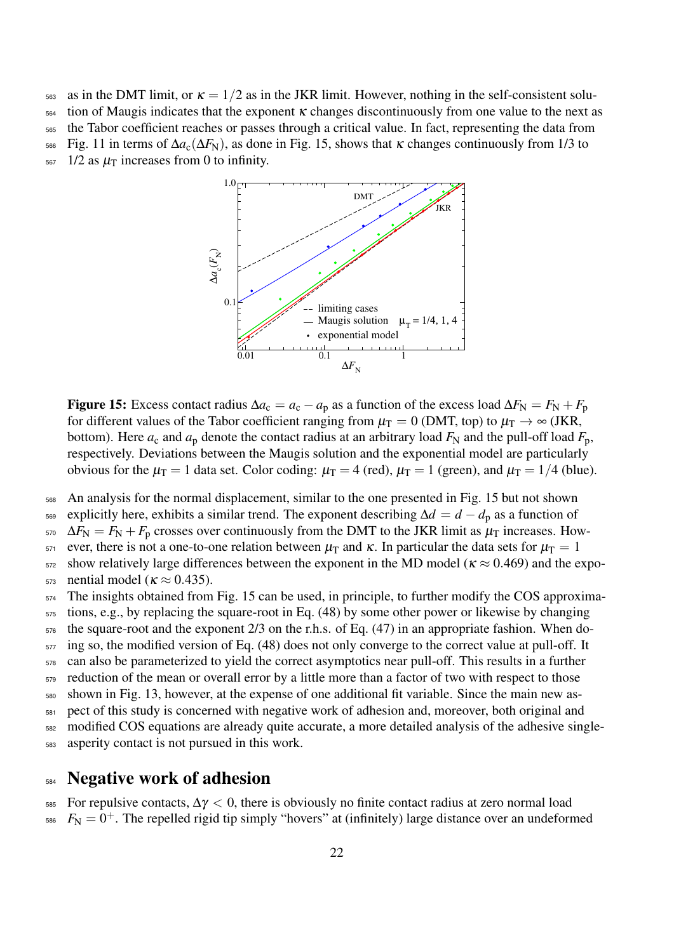563 as in the DMT limit, or  $\kappa = 1/2$  as in the JKR limit. However, nothing in the self-consistent solu-

 $564$  tion of Maugis indicates that the exponent  $\kappa$  changes discontinuously from one value to the next as

<sup>565</sup> the Tabor coefficient reaches or passes through a critical value. In fact, representing the data from

566 Fig. 11 in terms of  $\Delta a_c(\Delta F_N)$ , as done in Fig. 15, shows that  $\kappa$  changes continuously from 1/3 to

 $567$  1/2 as  $\mu$ <sup>T</sup> increases from 0 to infinity.



Figure 15: Excess contact radius  $\Delta a_c = a_c - a_p$  as a function of the excess load  $\Delta F_N = F_N + F_p$ for different values of the Tabor coefficient ranging from  $\mu_T = 0$  (DMT, top) to  $\mu_T \to \infty$  (JKR, bottom). Here  $a_c$  and  $a_p$  denote the contact radius at an arbitrary load  $F_N$  and the pull-off load  $F_p$ , respectively. Deviations between the Maugis solution and the exponential model are particularly obvious for the  $\mu_T = 1$  data set. Color coding:  $\mu_T = 4$  (red),  $\mu_T = 1$  (green), and  $\mu_T = 1/4$  (blue).

<sup>568</sup> An analysis for the normal displacement, similar to the one presented in Fig. 15 but not shown

<sup>569</sup> explicitly here, exhibits a similar trend. The exponent describing ∆*d* = *d* − *d*<sup>p</sup> as a function of

 $570 \Delta F_N = F_N + F_p$  crosses over continuously from the DMT to the JKR limit as  $\mu_T$  increases. How-

571 ever, there is not a one-to-one relation between  $\mu$ <sub>T</sub> and κ. In particular the data sets for  $\mu$ <sub>T</sub> = 1

 $572$  show relatively large differences between the exponent in the MD model ( $\kappa \approx 0.469$ ) and the expo- $_{573}$  nential model ( $\kappa \approx 0.435$ ).

<sup>574</sup> The insights obtained from Fig. 15 can be used, in principle, to further modify the COS approxima-

<sup>575</sup> tions, e.g., by replacing the square-root in Eq. (48) by some other power or likewise by changing

 $576$  the square-root and the exponent 2/3 on the r.h.s. of Eq. (47) in an appropriate fashion. When do-

 $577$  ing so, the modified version of Eq. (48) does not only converge to the correct value at pull-off. It

<sup>578</sup> can also be parameterized to yield the correct asymptotics near pull-off. This results in a further

 $579$  reduction of the mean or overall error by a little more than a factor of two with respect to those

<sup>580</sup> shown in Fig. 13, however, at the expense of one additional fit variable. Since the main new as-

<sup>581</sup> pect of this study is concerned with negative work of adhesion and, moreover, both original and

<sup>582</sup> modified COS equations are already quite accurate, a more detailed analysis of the adhesive single-

<sup>583</sup> asperity contact is not pursued in this work.

## <sup>584</sup> Negative work of adhesion

585 For repulsive contacts,  $\Delta \gamma < 0$ , there is obviously no finite contact radius at zero normal load

 $F_N = 0^+$ . The repelled rigid tip simply "hovers" at (infinitely) large distance over an undeformed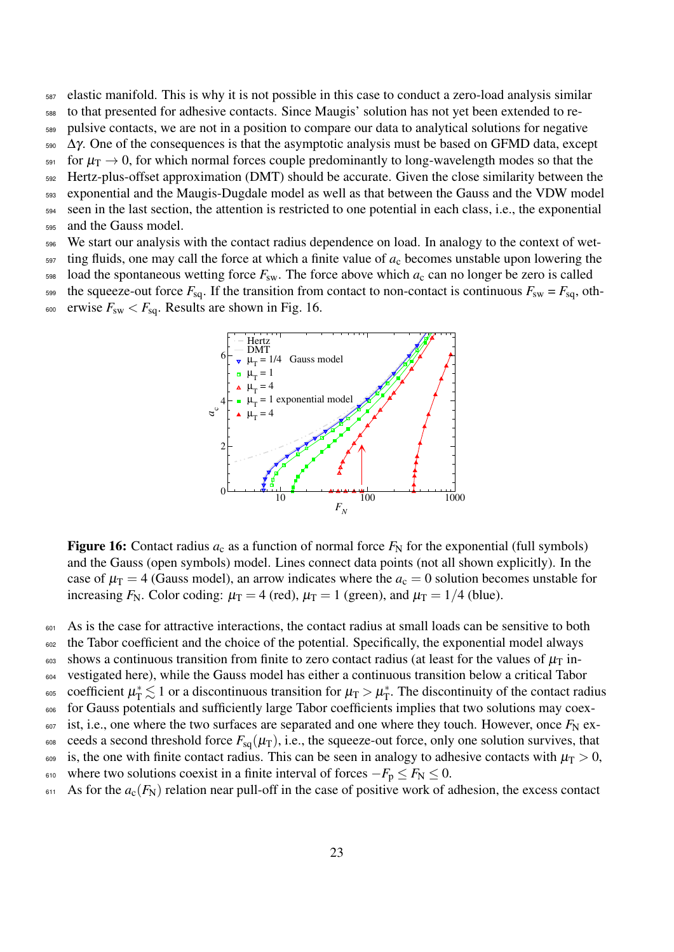- <sup>587</sup> elastic manifold. This is why it is not possible in this case to conduct a zero-load analysis similar
- <sup>588</sup> to that presented for adhesive contacts. Since Maugis' solution has not yet been extended to re-
- <sup>589</sup> pulsive contacts, we are not in a position to compare our data to analytical solutions for negative
- $590$   $Δγ$ . One of the consequences is that the asymptotic analysis must be based on GFMD data, except
- $_{591}$  for  $\mu$ <sub>T</sub>  $\rightarrow$  0, for which normal forces couple predominantly to long-wavelength modes so that the
- <sup>592</sup> Hertz-plus-offset approximation (DMT) should be accurate. Given the close similarity between the
- <sup>593</sup> exponential and the Maugis-Dugdale model as well as that between the Gauss and the VDW model
- <sup>594</sup> seen in the last section, the attention is restricted to one potential in each class, i.e., the exponential <sup>595</sup> and the Gauss model.
- <sup>596</sup> We start our analysis with the contact radius dependence on load. In analogy to the context of wet-
- $597$  ting fluids, one may call the force at which a finite value of  $a_c$  becomes unstable upon lowering the

598 load the spontaneous wetting force  $F_{sw}$ . The force above which  $a_c$  can no longer be zero is called

599 the squeeze-out force  $F_{\text{sq}}$ . If the transition from contact to non-contact is continuous  $F_{\text{sw}} = F_{\text{sq}}$ , oth- $F_{sw}$   $K_{sg}$ . Results are shown in Fig. 16.



**Figure 16:** Contact radius  $a_c$  as a function of normal force  $F_N$  for the exponential (full symbols) and the Gauss (open symbols) model. Lines connect data points (not all shown explicitly). In the case of  $\mu_{\rm T} = 4$  (Gauss model), an arrow indicates where the  $a_{\rm c} = 0$  solution becomes unstable for increasing  $F_N$ . Color coding:  $\mu_T = 4$  (red),  $\mu_T = 1$  (green), and  $\mu_T = 1/4$  (blue).

601 As is the case for attractive interactions, the contact radius at small loads can be sensitive to both

- <sub>602</sub> the Tabor coefficient and the choice of the potential. Specifically, the exponential model always
- $\frac{603}{100}$  shows a continuous transition from finite to zero contact radius (at least for the values of  $\mu$ <sub>T</sub> in-
- <sup>604</sup> vestigated here), while the Gauss model has either a continuous transition below a critical Tabor
- coefficient  $\mu_{\rm T}^* \lesssim 1$  or a discontinuous transition for  $\mu_{\rm T} > \mu_{\rm T}^*$ <sup>605</sup> coefficient  $\mu_{\rm T}^* \lesssim 1$  or a discontinuous transition for  $\mu_{\rm T} > \mu_{\rm T}^*$ . The discontinuity of the contact radius
- <sup>606</sup> for Gauss potentials and sufficiently large Tabor coefficients implies that two solutions may coex-
- $\frac{607}{100}$  ist, i.e., one where the two surfaces are separated and one where they touch. However, once  $F_N$  ex-
- 608 ceeds a second threshold force  $F_{sq}(\mu_T)$ , i.e., the squeeze-out force, only one solution survives, that 609 is, the one with finite contact radius. This can be seen in analogy to adhesive contacts with  $\mu$ <sub>T</sub> > 0,
- 610 where two solutions coexist in a finite interval of forces  $-F_p \le F_N \le 0$ .
- $611$  As for the  $a_c(F_N)$  relation near pull-off in the case of positive work of adhesion, the excess contact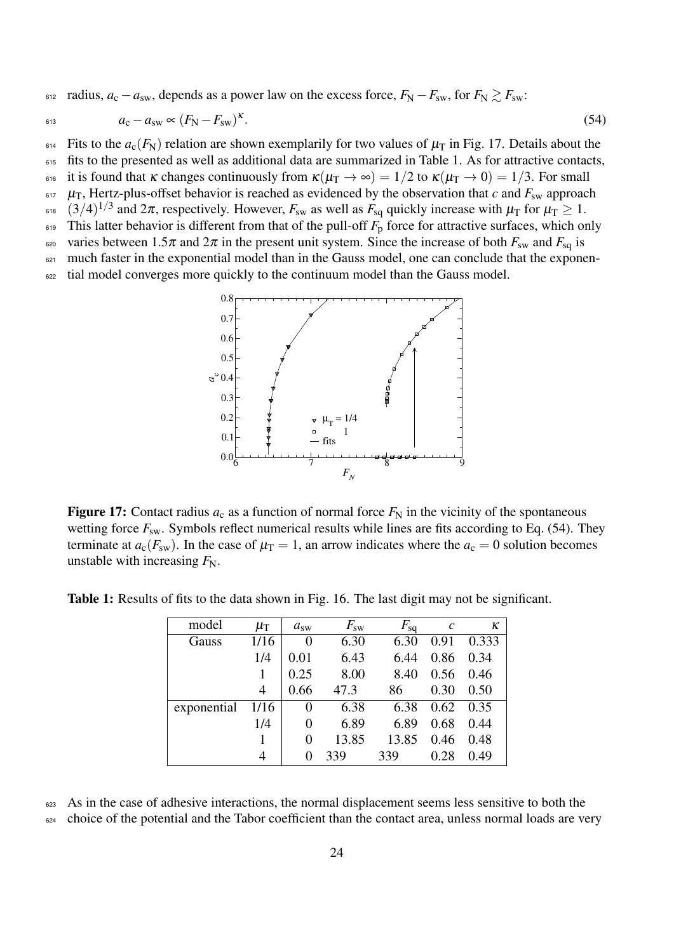612 radius,  $a_c - a_{sw}$ , depends as a power law on the excess force,  $F_N - F_{sw}$ , for  $F_N \ge F_{sw}$ .

$$
a_{\rm c} - a_{\rm sw} \propto (F_{\rm N} - F_{\rm sw})^{\kappa}.\tag{54}
$$

<sup>614</sup> Fits to the  $a_c(F_N)$  relation are shown exemplarily for two values of  $\mu_T$  in Fig. 17. Details about the 615 fits to the presented as well as additional data are summarized in Table 1. As for attractive contacts,

616 it is found that  $\kappa$  changes continuously from  $\kappa(\mu_T \to \infty) = 1/2$  to  $\kappa(\mu_T \to 0) = 1/3$ . For small

- $\mu_{\rm T}$ , Hertz-plus-offset behavior is reached as evidenced by the observation that *c* and  $F_{\rm sw}$  approach
- <sup>618</sup>  $(3/4)^{1/3}$  and  $2\pi$ , respectively. However,  $F_{sw}$  as well as  $F_{sq}$  quickly increase with  $\mu_T$  for  $\mu_T \ge 1$ .
- $619$  This latter behavior is different from that of the pull-off  $F<sub>p</sub>$  force for attractive surfaces, which only 620 varies between  $1.5\pi$  and  $2\pi$  in the present unit system. Since the increase of both  $F_{sw}$  and  $F_{sq}$  is
- 621 much faster in the exponential model than in the Gauss model, one can conclude that the exponen-

<sup>622</sup> tial model converges more quickly to the continuum model than the Gauss model.



Figure 17: Contact radius  $a_c$  as a function of normal force  $F_N$  in the vicinity of the spontaneous wetting force  $F_{sw}$ . Symbols reflect numerical results while lines are fits according to Eq. (54). They terminate at  $a_c(F_{sw})$ . In the case of  $\mu_T = 1$ , an arrow indicates where the  $a_c = 0$  solution becomes unstable with increasing  $F_N$ .

| model       | $\mu_{\rm T}$ | $a_{\rm sw}$ | $F_{\rm sw}$ | $F_{\rm sq}$ | $\mathcal{C}$ | κ     |
|-------------|---------------|--------------|--------------|--------------|---------------|-------|
| Gauss       | 1/16          | 0            | 6.30         | 6.30         | 0.91          | 0.333 |
|             | 1/4           | 0.01         | 6.43         | 6.44         | 0.86          | 0.34  |
|             | 1             | 0.25         | 8.00         | 8.40         | 0.56          | 0.46  |
|             | 4             | 0.66         | 47.3         | 86           | 0.30          | 0.50  |
| exponential | 1/16          | 0            | 6.38         | 6.38         | 0.62          | 0.35  |
|             | 1/4           | $\Omega$     | 6.89         | 6.89         | 0.68          | 0.44  |
|             |               | 0            | 13.85        | 13.85        | 0.46          | 0.48  |
|             |               | $\theta$     | 339          | 339          | 0.28          | 0.49  |

Table 1: Results of fits to the data shown in Fig. 16. The last digit may not be significant.

<sup>623</sup> As in the case of adhesive interactions, the normal displacement seems less sensitive to both the <sup>624</sup> choice of the potential and the Tabor coefficient than the contact area, unless normal loads are very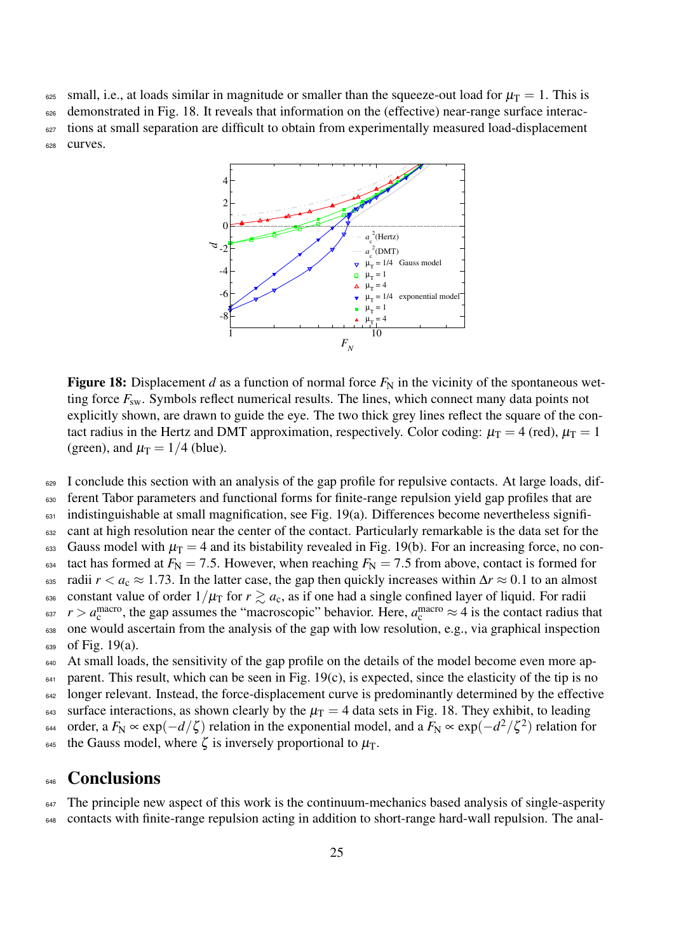625 small, i.e., at loads similar in magnitude or smaller than the squeeze-out load for  $\mu$ <sub>T</sub> = 1. This is

<sup>626</sup> demonstrated in Fig. 18. It reveals that information on the (effective) near-range surface interac-<sup>627</sup> tions at small separation are difficult to obtain from experimentally measured load-displacement 628 curves.



**Figure 18:** Displacement *d* as a function of normal force  $F_N$  in the vicinity of the spontaneous wetting force  $F_{sw}$ . Symbols reflect numerical results. The lines, which connect many data points not explicitly shown, are drawn to guide the eye. The two thick grey lines reflect the square of the contact radius in the Hertz and DMT approximation, respectively. Color coding:  $\mu_T = 4$  (red),  $\mu_T = 1$ (green), and  $\mu_T = 1/4$  (blue).

<sup>629</sup> I conclude this section with an analysis of the gap profile for repulsive contacts. At large loads, dif-

<sup>630</sup> ferent Tabor parameters and functional forms for finite-range repulsion yield gap profiles that are

<sup>631</sup> indistinguishable at small magnification, see Fig. 19(a). Differences become nevertheless signifi-632 cant at high resolution near the center of the contact. Particularly remarkable is the data set for the

633 Gauss model with  $\mu_T = 4$  and its bistability revealed in Fig. 19(b). For an increasing force, no con-

 $_{634}$  tact has formed at  $F_N = 7.5$ . However, when reaching  $F_N = 7.5$  from above, contact is formed for

635 radii  $r < a_c \approx 1.73$ . In the latter case, the gap then quickly increases within  $\Delta r \approx 0.1$  to an almost

636 constant value of order  $1/\mu$ <sub>T</sub> for  $r \gtrsim a_c$ , as if one had a single confined layer of liquid. For radii  $a_{\rm s37}$   $r > a_{\rm c}^{\rm macro}$ , the gap assumes the "macroscopic" behavior. Here,  $a_{\rm c}^{\rm macro} \approx 4$  is the contact radius that

<sup>638</sup> one would ascertain from the analysis of the gap with low resolution, e.g., via graphical inspection  $639$  of Fig. 19(a).

<sup>640</sup> At small loads, the sensitivity of the gap profile on the details of the model become even more ap-

 $641$  parent. This result, which can be seen in Fig. 19(c), is expected, since the elasticity of the tip is no

<sup>642</sup> longer relevant. Instead, the force-displacement curve is predominantly determined by the effective

643 surface interactions, as shown clearly by the  $\mu$ <sub>T</sub> = 4 data sets in Fig. 18. They exhibit, to leading 644 order, a  $F_N \propto \exp(-d/\zeta)$  relation in the exponential model, and a  $F_N \propto \exp(-d^2/\zeta^2)$  relation for

<sup>645</sup> the Gauss model, where  $\zeta$  is inversely proportional to  $\mu_T$ .

## **646** Conclusions

<sup>647</sup> The principle new aspect of this work is the continuum-mechanics based analysis of single-asperity <sup>648</sup> contacts with finite-range repulsion acting in addition to short-range hard-wall repulsion. The anal-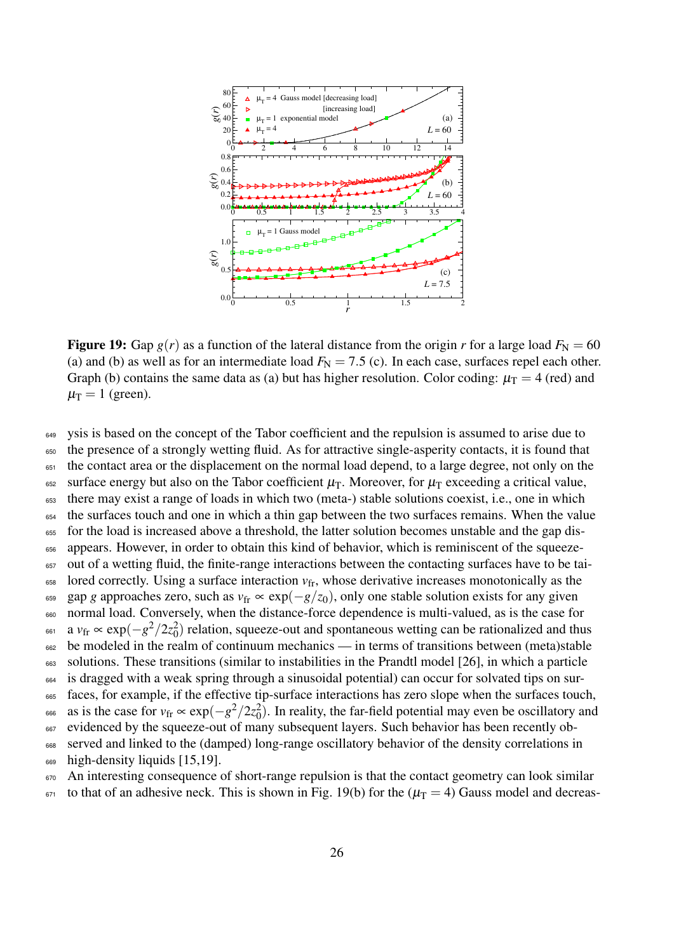

**Figure 19:** Gap  $g(r)$  as a function of the lateral distance from the origin *r* for a large load  $F_N = 60$ (a) and (b) as well as for an intermediate load  $F_N = 7.5$  (c). In each case, surfaces repel each other. Graph (b) contains the same data as (a) but has higher resolution. Color coding:  $\mu_T = 4$  (red) and  $\mu$ <sub>T</sub> = 1 (green).

<sup>649</sup> ysis is based on the concept of the Tabor coefficient and the repulsion is assumed to arise due to <sup>650</sup> the presence of a strongly wetting fluid. As for attractive single-asperity contacts, it is found that <sup>651</sup> the contact area or the displacement on the normal load depend, to a large degree, not only on the <sup>652</sup> surface energy but also on the Tabor coefficient  $\mu$ <sub>T</sub>. Moreover, for  $\mu$ <sub>T</sub> exceeding a critical value, <sup>653</sup> there may exist a range of loads in which two (meta-) stable solutions coexist, i.e., one in which <sup>654</sup> the surfaces touch and one in which a thin gap between the two surfaces remains. When the value <sup>655</sup> for the load is increased above a threshold, the latter solution becomes unstable and the gap dis-<sup>656</sup> appears. However, in order to obtain this kind of behavior, which is reminiscent of the squeeze-<sup>657</sup> out of a wetting fluid, the finite-range interactions between the contacting surfaces have to be tai- $\epsilon$ <sub>658</sub> lored correctly. Using a surface interaction  $v_{\text{fr}}$ , whose derivative increases monotonically as the 659 gap *g* approaches zero, such as  $v_{\rm fr} \propto \exp(-g/z_0)$ , only one stable solution exists for any given <sup>660</sup> normal load. Conversely, when the distance-force dependence is multi-valued, as is the case for <sup>661</sup> a *v*<sub>fr</sub> ∝ exp( $-g^2/2z_0^2$ ) relation, squeeze-out and spontaneous wetting can be rationalized and thus 662 be modeled in the realm of continuum mechanics — in terms of transitions between (meta)stable <sup>663</sup> solutions. These transitions (similar to instabilities in the Prandtl model [26], in which a particle <sup>664</sup> is dragged with a weak spring through a sinusoidal potential) can occur for solvated tips on sur-<sup>665</sup> faces, for example, if the effective tip-surface interactions has zero slope when the surfaces touch, <sup>666</sup> as is the case for  $v_{\rm fr} \propto \exp(-g^2/2z_0^2)$ . In reality, the far-field potential may even be oscillatory and <sup>667</sup> evidenced by the squeeze-out of many subsequent layers. Such behavior has been recently ob-<sup>668</sup> served and linked to the (damped) long-range oscillatory behavior of the density correlations in 669 high-density liquids [15,19].  $670$  An interesting consequence of short-range repulsion is that the contact geometry can look similar

 $671$  to that of an adhesive neck. This is shown in Fig. 19(b) for the ( $\mu$ T = 4) Gauss model and decreas-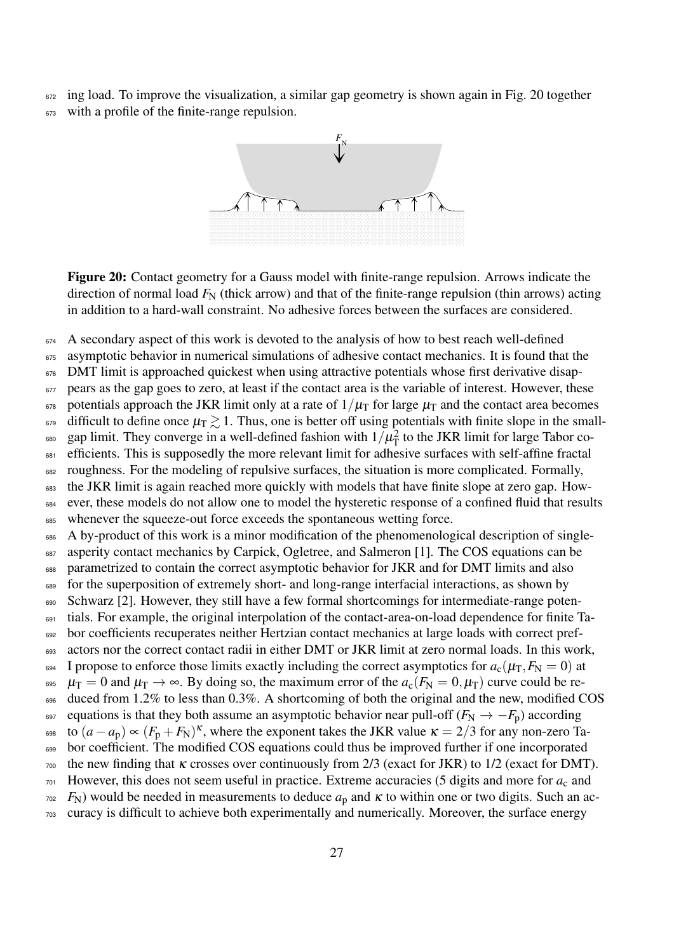$672$  ing load. To improve the visualization, a similar gap geometry is shown again in Fig. 20 together <sup>673</sup> with a profile of the finite-range repulsion.



Figure 20: Contact geometry for a Gauss model with finite-range repulsion. Arrows indicate the direction of normal load  $F_N$  (thick arrow) and that of the finite-range repulsion (thin arrows) acting in addition to a hard-wall constraint. No adhesive forces between the surfaces are considered.

<sup>674</sup> A secondary aspect of this work is devoted to the analysis of how to best reach well-defined

675 asymptotic behavior in numerical simulations of adhesive contact mechanics. It is found that the  $676$  DMT limit is approached quickest when using attractive potentials whose first derivative disap-<sup>677</sup> pears as the gap goes to zero, at least if the contact area is the variable of interest. However, these  $\epsilon_{678}$  potentials approach the JKR limit only at a rate of  $1/\mu$ <sub>T</sub> for large  $\mu$ <sub>T</sub> and the contact area becomes <sup>679</sup> difficult to define once  $\mu_{\rm T} \gtrsim 1$ . Thus, one is better off using potentials with finite slope in the small-<sup>680</sup> gap limit. They converge in a well-defined fashion with  $1/\mu_T^2$  to the JKR limit for large Tabor co-<sup>681</sup> efficients. This is supposedly the more relevant limit for adhesive surfaces with self-affine fractal <sup>682</sup> roughness. For the modeling of repulsive surfaces, the situation is more complicated. Formally, <sup>683</sup> the JKR limit is again reached more quickly with models that have finite slope at zero gap. How-<sup>684</sup> ever, these models do not allow one to model the hysteretic response of a confined fluid that results <sup>685</sup> whenever the squeeze-out force exceeds the spontaneous wetting force. 686 A by-product of this work is a minor modification of the phenomenological description of single-<sup>687</sup> asperity contact mechanics by Carpick, Ogletree, and Salmeron [1]. The COS equations can be <sup>688</sup> parametrized to contain the correct asymptotic behavior for JKR and for DMT limits and also <sup>689</sup> for the superposition of extremely short- and long-range interfacial interactions, as shown by 690 Schwarz [2]. However, they still have a few formal shortcomings for intermediate-range poten-<sup>691</sup> tials. For example, the original interpolation of the contact-area-on-load dependence for finite Ta-<sup>692</sup> bor coefficients recuperates neither Hertzian contact mechanics at large loads with correct pref-693 actors nor the correct contact radii in either DMT or JKR limit at zero normal loads. In this work, 694 I propose to enforce those limits exactly including the correct asymptotics for  $a_c(\mu_T, F_N = 0)$  at <sup>695</sup>  $\mu_T = 0$  and  $\mu_T \to \infty$ . By doing so, the maximum error of the  $a_c(F_N = 0, \mu_T)$  curve could be re-696 duced from 1.2% to less than 0.3%. A shortcoming of both the original and the new, modified COS 697 equations is that they both assume an asymptotic behavior near pull-off  $(F_N \to -F_p)$  according

- 698 to  $(a a_p) \propto (F_p + F_N)^{\kappa}$ , where the exponent takes the JKR value  $\kappa = 2/3$  for any non-zero Ta-699 bor coefficient. The modified COS equations could thus be improved further if one incorporated
- $700$  the new finding that k crosses over continuously from 2/3 (exact for JKR) to 1/2 (exact for DMT).
- $701$  However, this does not seem useful in practice. Extreme accuracies (5 digits and more for  $a_c$  and
- $F_N$ ) would be needed in measurements to deduce  $a_p$  and  $\kappa$  to within one or two digits. Such an ac-
- <sup>703</sup> curacy is difficult to achieve both experimentally and numerically. Moreover, the surface energy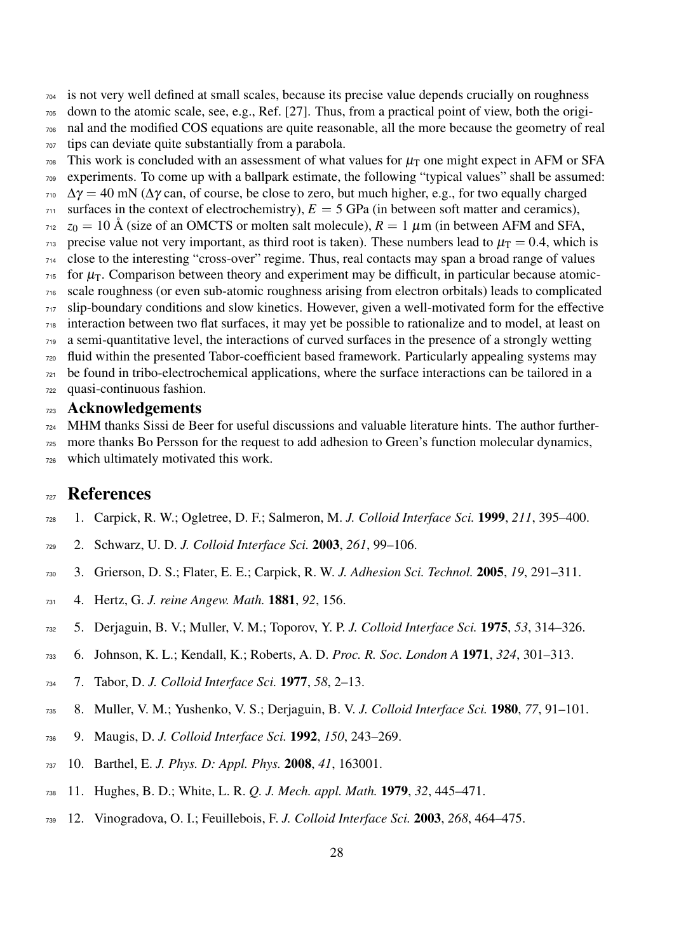is not very well defined at small scales, because its precise value depends crucially on roughness

- down to the atomic scale, see, e.g., Ref. [27]. Thus, from a practical point of view, both the origi-nal and the modified COS equations are quite reasonable, all the more because the geometry of real
- tips can deviate quite substantially from a parabola.
- This work is concluded with an assessment of what values for  $\mu$ <sub>T</sub> one might expect in AFM or SFA experiments. To come up with a ballpark estimate, the following "typical values" shall be assumed:  $\gamma_{10}$   $\Delta \gamma = 40$  mN ( $\Delta \gamma$  can, of course, be close to zero, but much higher, e.g., for two equally charged
- surfaces in the context of electrochemistry),  $E = 5$  GPa (in between soft matter and ceramics),
- $z_0 = 10$  Å (size of an OMCTS or molten salt molecule),  $R = 1 \mu m$  (in between AFM and SFA,
- $_{713}$  precise value not very important, as third root is taken). These numbers lead to  $\mu$ <sub>T</sub> = 0.4, which is
- close to the interesting "cross-over" regime. Thus, real contacts may span a broad range of values
- for  $\mu$ <sub>T</sub>. Comparison between theory and experiment may be difficult, in particular because atomic-scale roughness (or even sub-atomic roughness arising from electron orbitals) leads to complicated
- slip-boundary conditions and slow kinetics. However, given a well-motivated form for the effective
- interaction between two flat surfaces, it may yet be possible to rationalize and to model, at least on
- a semi-quantitative level, the interactions of curved surfaces in the presence of a strongly wetting
- fluid within the presented Tabor-coefficient based framework. Particularly appealing systems may
- be found in tribo-electrochemical applications, where the surface interactions can be tailored in a
- quasi-continuous fashion.

### Acknowledgements

 MHM thanks Sissi de Beer for useful discussions and valuable literature hints. The author further-more thanks Bo Persson for the request to add adhesion to Green's function molecular dynamics,

which ultimately motivated this work.

## References

- 1. Carpick, R. W.; Ogletree, D. F.; Salmeron, M. *J. Colloid Interface Sci.* 1999, *211*, 395–400.
- 2. Schwarz, U. D. *J. Colloid Interface Sci.* 2003, *261*, 99–106.
- 3. Grierson, D. S.; Flater, E. E.; Carpick, R. W. *J. Adhesion Sci. Technol.* 2005, *19*, 291–311.
- 4. Hertz, G. *J. reine Angew. Math.* 1881, *92*, 156.
- 5. Derjaguin, B. V.; Muller, V. M.; Toporov, Y. P. *J. Colloid Interface Sci.* 1975, *53*, 314–326.
- 6. Johnson, K. L.; Kendall, K.; Roberts, A. D. *Proc. R. Soc. London A* 1971, *324*, 301–313.
- 7. Tabor, D. *J. Colloid Interface Sci.* 1977, *58*, 2–13.
- 8. Muller, V. M.; Yushenko, V. S.; Derjaguin, B. V. *J. Colloid Interface Sci.* 1980, *77*, 91–101.
- 9. Maugis, D. *J. Colloid Interface Sci.* 1992, *150*, 243–269.
- 10. Barthel, E. *J. Phys. D: Appl. Phys.* 2008, *41*, 163001.
- 11. Hughes, B. D.; White, L. R. *Q. J. Mech. appl. Math.* 1979, *32*, 445–471.
- 12. Vinogradova, O. I.; Feuillebois, F. *J. Colloid Interface Sci.* 2003, *268*, 464–475.